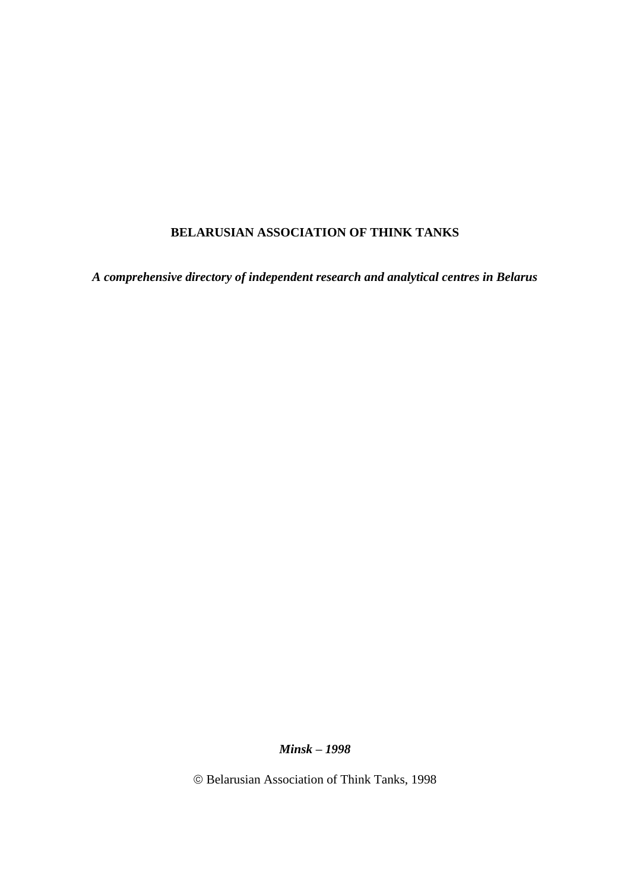# **BELARUSIAN ASSOCIATION OF THINK TANKS**

*A comprehensive directory of independent research and analytical centres in Belarus*

*Minsk – 1998*

Belarusian Association of Think Tanks, 1998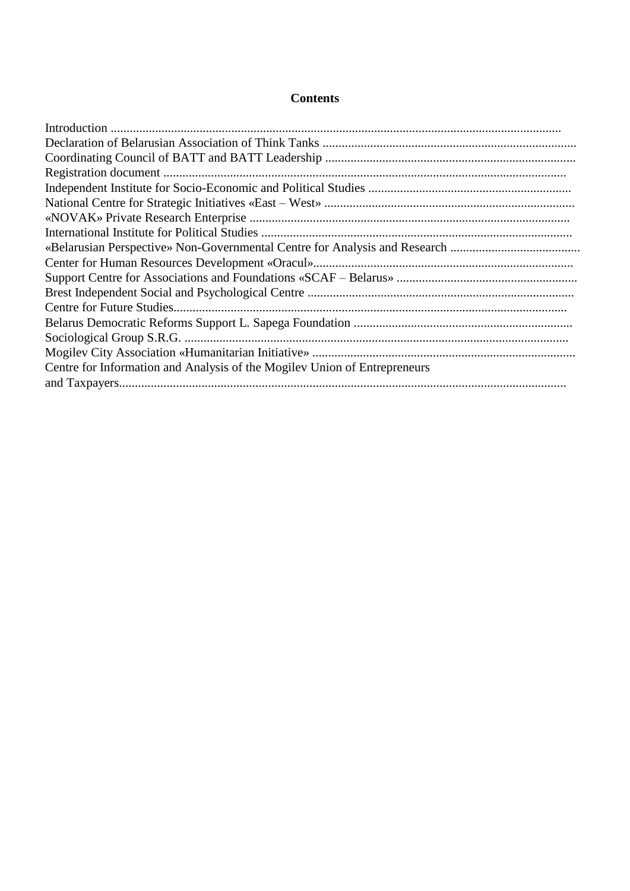## **Contents**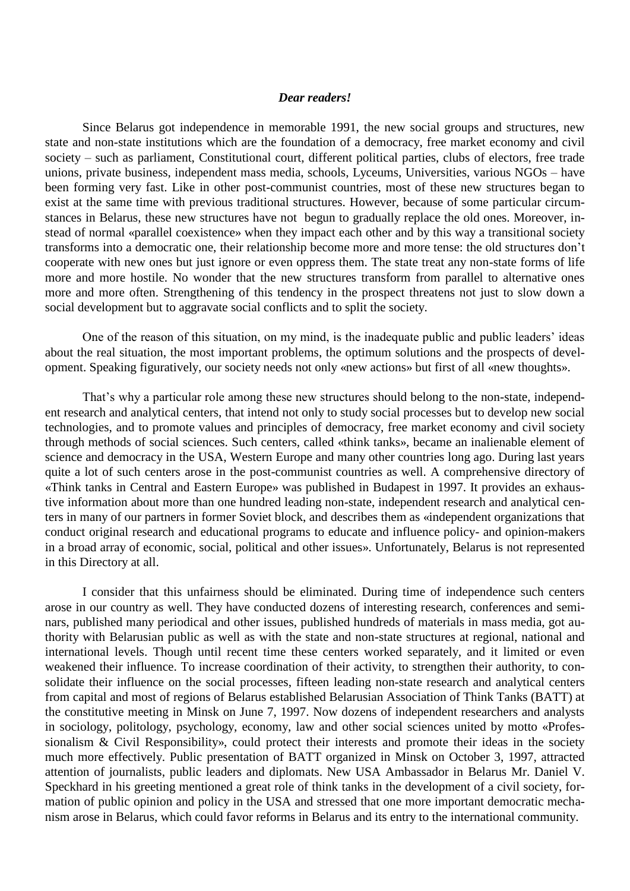#### *Dear readers!*

Since Belarus got independence in memorable 1991, the new social groups and structures, new state and non-state institutions which are the foundation of a democracy, free market economy and civil society – such as parliament, Constitutional court, different political parties, clubs of electors, free trade unions, private business, independent mass media, schools, Lyceums, Universities, various NGOs – have been forming very fast. Like in other post-communist countries, most of these new structures began to exist at the same time with previous traditional structures. However, because of some particular circumstances in Belarus, these new structures have not begun to gradually replace the old ones. Moreover, instead of normal «parallel coexistence» when they impact each other and by this way a transitional society transforms into a democratic one, their relationship become more and more tense: the old structures don't cooperate with new ones but just ignore or even oppress them. The state treat any non-state forms of life more and more hostile. No wonder that the new structures transform from parallel to alternative ones more and more often. Strengthening of this tendency in the prospect threatens not just to slow down a social development but to aggravate social conflicts and to split the society.

One of the reason of this situation, on my mind, is the inadequate public and public leaders' ideas about the real situation, the most important problems, the optimum solutions and the prospects of development. Speaking figuratively, our society needs not only «new actions» but first of all «new thoughts».

That's why a particular role among these new structures should belong to the non-state, independent research and analytical centers, that intend not only to study social processes but to develop new social technologies, and to promote values and principles of democracy, free market economy and civil society through methods of social sciences. Such centers, called «think tanks», became an inalienable element of science and democracy in the USA, Western Europe and many other countries long ago. During last years quite a lot of such centers arose in the post-communist countries as well. A comprehensive directory of «Think tanks in Central and Eastern Europe» was published in Budapest in 1997. It provides an exhaustive information about more than one hundred leading non-state, independent research and analytical centers in many of our partners in former Soviet block, and describes them as «independent organizations that conduct original research and educational programs to educate and influence policy- and opinion-makers in a broad array of economic, social, political and other issues». Unfortunately, Belarus is not represented in this Directory at all.

I consider that this unfairness should be eliminated. During time of independence such centers arose in our country as well. They have conducted dozens of interesting research, conferences and seminars, published many periodical and other issues, published hundreds of materials in mass media, got authority with Belarusian public as well as with the state and non-state structures at regional, national and international levels. Though until recent time these centers worked separately, and it limited or even weakened their influence. To increase coordination of their activity, to strengthen their authority, to consolidate their influence on the social processes, fifteen leading non-state research and analytical centers from capital and most of regions of Belarus established Belarusian Association of Think Tanks (BATT) at the constitutive meeting in Minsk on June 7, 1997. Now dozens of independent researchers and analysts in sociology, politology, psychology, economy, law and other social sciences united by motto «Professionalism & Civil Responsibility», could protect their interests and promote their ideas in the society much more effectively. Public presentation of BATT organized in Minsk on October 3, 1997, attracted attention of journalists, public leaders and diplomats. New USA Ambassador in Belarus Mr. Daniel V. Speckhard in his greeting mentioned a great role of think tanks in the development of a civil society, formation of public opinion and policy in the USA and stressed that one more important democratic mechanism arose in Belarus, which could favor reforms in Belarus and its entry to the international community.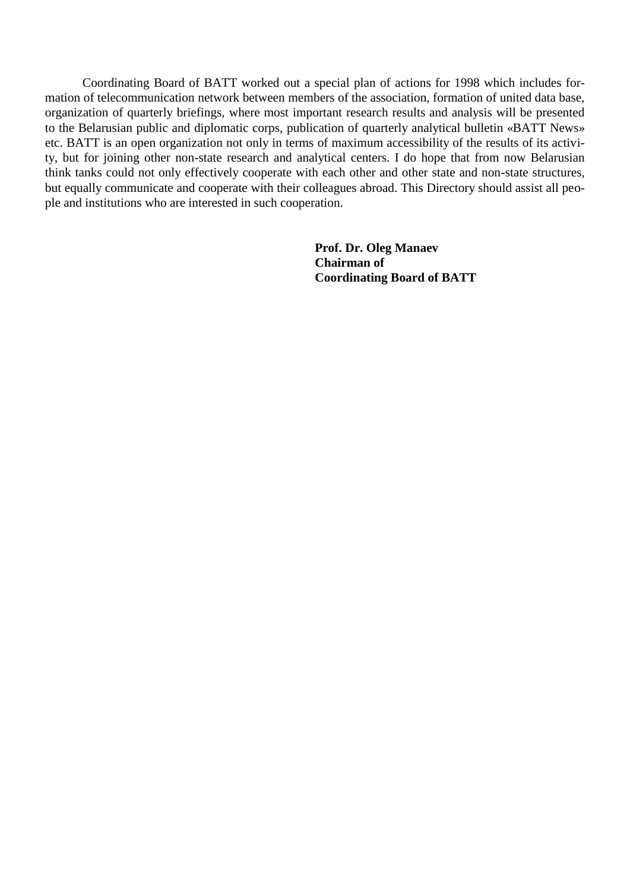Coordinating Board of BATT worked out a special plan of actions for 1998 which includes formation of telecommunication network between members of the association, formation of united data base, organization of quarterly briefings, where most important research results and analysis will be presented to the Belarusian public and diplomatic corps, publication of quarterly analytical bulletin «BATT News» etc. BATT is an open organization not only in terms of maximum accessibility of the results of its activity, but for joining other non-state research and analytical centers. I do hope that from now Belarusian think tanks could not only effectively cooperate with each other and other state and non-state structures, but equally communicate and cooperate with their colleagues abroad. This Directory should assist all people and institutions who are interested in such cooperation.

> **Prof. Dr. Oleg Manaev Chairman of Coordinating Board of BATT**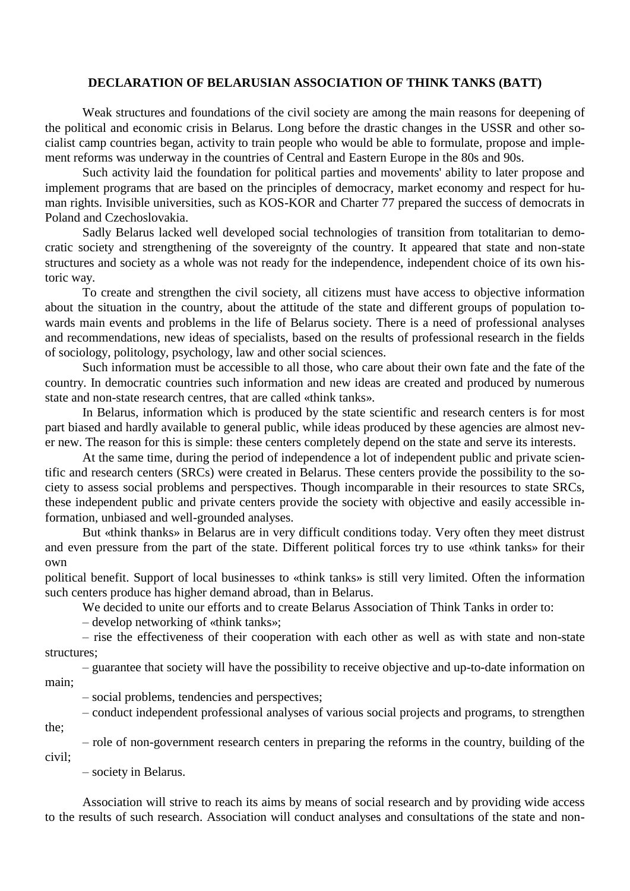#### **DECLARATION OF BELARUSIAN ASSOCIATION OF THINK TANKS (BATT)**

Weak structures and foundations of the civil society are among the main reasons for deepening of the political and economic crisis in Belarus. Long before the drastic changes in the USSR and other socialist camp countries began, activity to train people who would be able to formulate, propose and implement reforms was underway in the countries of Central and Eastern Europe in the 80s and 90s.

Such activity laid the foundation for political parties and movements' ability to later propose and implement programs that are based on the principles of democracy, market economy and respect for human rights. Invisible universities, such as KOS-KOR and Charter 77 prepared the success of democrats in Poland and Czechoslovakia.

Sadly Belarus lacked well developed social technologies of transition from totalitarian to democratic society and strengthening of the sovereignty of the country. It appeared that state and non-state structures and society as a whole was not ready for the independence, independent choice of its own historic way.

To create and strengthen the civil society, all citizens must have access to objective information about the situation in the country, about the attitude of the state and different groups of population towards main events and problems in the life of Belarus society. There is a need of professional analyses and recommendations, new ideas of specialists, based on the results of professional research in the fields of sociology, politology, psychology, law and other social sciences.

Such information must be accessible to all those, who care about their own fate and the fate of the country. In democratic countries such information and new ideas are created and produced by numerous state and non-state research centres, that are called «think tanks».

In Belarus, information which is produced by the state scientific and research centers is for most part biased and hardly available to general public, while ideas produced by these agencies are almost never new. The reason for this is simple: these centers completely depend on the state and serve its interests.

At the same time, during the period of independence a lot of independent public and private scientific and research centers (SRCs) were created in Belarus. These centers provide the possibility to the society to assess social problems and perspectives. Though incomparable in their resources to state SRCs, these independent public and private centers provide the society with objective and easily accessible information, unbiased and well-grounded analyses.

But «think thanks» in Belarus are in very difficult conditions today. Very often they meet distrust and even pressure from the part of the state. Different political forces try to use «think tanks» for their own

political benefit. Support of local businesses to «think tanks» is still very limited. Often the information such centers produce has higher demand abroad, than in Belarus.

We decided to unite our efforts and to create Belarus Association of Think Tanks in order to:

– develop networking of «think tanks»;

– rise the effectiveness of their cooperation with each other as well as with state and non-state structures;

– guarantee that society will have the possibility to receive objective and up-to-date information on main;

– social problems, tendencies and perspectives;

– conduct independent professional analyses of various social projects and programs, to strengthen the;

– role of non-government research centers in preparing the reforms in the country, building of the civil;

– society in Belarus.

Association will strive to reach its aims by means of social research and by providing wide access to the results of such research. Association will conduct analyses and consultations of the state and non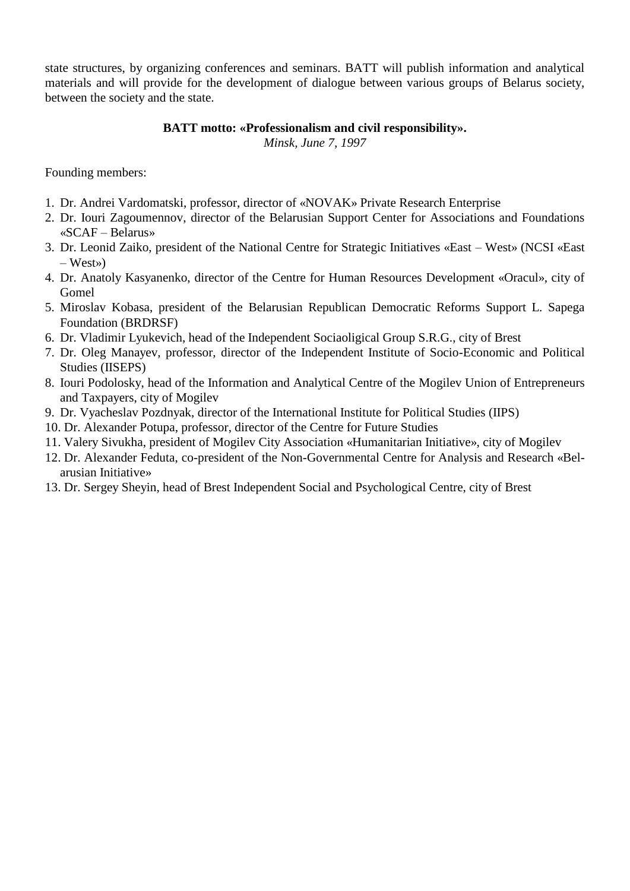state structures, by organizing conferences and seminars. BATT will publish information and analytical materials and will provide for the development of dialogue between various groups of Belarus society, between the society and the state.

# **BATT motto: «Professionalism and civil responsibility».**

*Minsk, June 7, 1997*

Founding members:

- 1. Dr. Andrei Vardomatski, professor, director of «NOVAK» Private Research Enterprise
- 2. Dr. Iouri Zagoumennov, director of the Belarusian Support Center for Associations and Foundations «SCAF – Belarus»
- 3. Dr. Leonid Zaiko, president of the National Centre for Strategic Initiatives «East West» (NCSI «East – West»)
- 4. Dr. Anatoly Kasyanenko, director of the Centre for Human Resources Development «Oracul», city of Gomel
- 5. Miroslav Kobasa, president of the Belarusian Republican Democratic Reforms Support L. Sapega Foundation (BRDRSF)
- 6. Dr. Vladimir Lyukevich, head of the Independent Sociaoligical Group S.R.G., city of Brest
- 7. Dr. Oleg Manayev, professor, director of the Independent Institute of Socio-Economic and Political Studies (IISEPS)
- 8. Iouri Podolosky, head of the Information and Analytical Centre of the Mogilev Union of Entrepreneurs and Taxpayers, city of Mogilev
- 9. Dr. Vyacheslav Pozdnyak, director of the International Institute for Political Studies (IIPS)
- 10. Dr. Alexander Potupa, professor, director of the Centre for Future Studies
- 11. Valery Sivukha, president of Mogilev City Association «Humanitarian Initiative», city of Mogilev
- 12. Dr. Alexander Feduta, co-president of the Non-Governmental Centre for Analysis and Research «Belarusian Initiative»
- 13. Dr. Sergey Sheyin, head of Brest Independent Social and Psychological Centre, city of Brest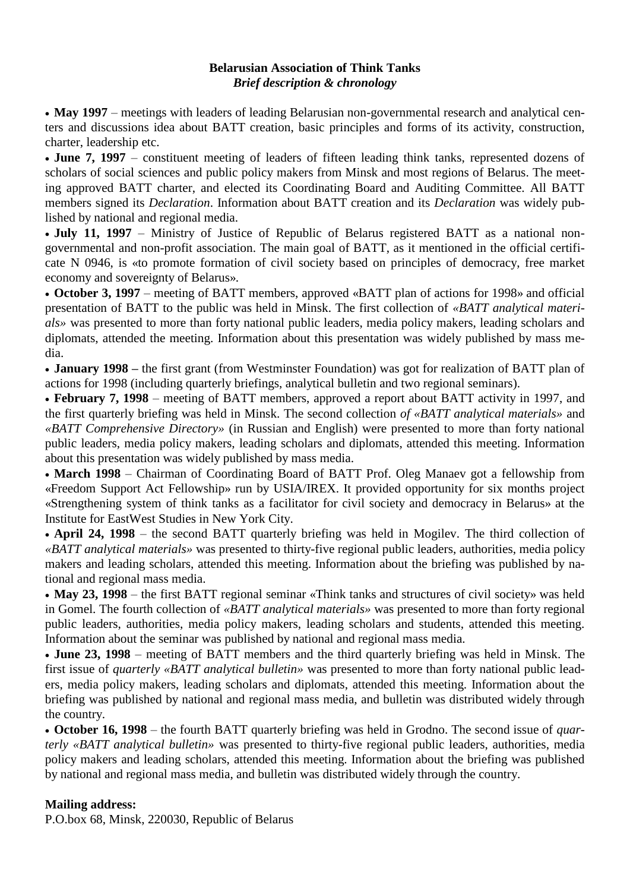### **Belarusian Association of Think Tanks** *Brief description & chronology*

• May 1997 – meetings with leaders of leading Belarusian non-governmental research and analytical centers and discussions idea about BATT creation, basic principles and forms of its activity, construction, charter, leadership etc.

• **June 7, 1997** – constituent meeting of leaders of fifteen leading think tanks, represented dozens of scholars of social sciences and public policy makers from Minsk and most regions of Belarus. The meeting approved BATT charter, and elected its Coordinating Board and Auditing Committee. All BATT members signed its *Declaration*. Information about BATT creation and its *Declaration* was widely published by national and regional media.

 **July 11, 1997** – Ministry of Justice of Republic of Belarus registered BATT as a national nongovernmental and non-profit association. The main goal of BATT, as it mentioned in the official certificate N 0946, is «to promote formation of civil society based on principles of democracy, free market economy and sovereignty of Belarus».

 **October 3, 1997** – meeting of BATT members, approved «BATT plan of actions for 1998» and official presentation of BATT to the public was held in Minsk. The first collection of *«BATT analytical materials»* was presented to more than forty national public leaders, media policy makers, leading scholars and diplomats, attended the meeting. Information about this presentation was widely published by mass media.

 **January 1998 –** the first grant (from Westminster Foundation) was got for realization of BATT plan of actions for 1998 (including quarterly briefings, analytical bulletin and two regional seminars).

 **February 7, 1998** – meeting of BATT members, approved a report about BATT activity in 1997, and the first quarterly briefing was held in Minsk. The second collection *of «BATT analytical materials»* and *«BATT Comprehensive Directory»* (in Russian and English) were presented to more than forty national public leaders, media policy makers, leading scholars and diplomats, attended this meeting. Information about this presentation was widely published by mass media.

 **March 1998** – Chairman of Coordinating Board of BATT Prof. Oleg Manaev got a fellowship from «Freedom Support Act Fellowship» run by USIA/IREX. It provided opportunity for six months project «Strengthening system of think tanks as a facilitator for civil society and democracy in Belarus» at the Institute for EastWest Studies in New York City.

• April 24, 1998 – the second BATT quarterly briefing was held in Mogilev. The third collection of *«BATT analytical materials»* was presented to thirty-five regional public leaders, authorities, media policy makers and leading scholars, attended this meeting. Information about the briefing was published by national and regional mass media.

 **May 23, 1998** – the first BATT regional seminar «Think tanks and structures of civil society» was held in Gomel. The fourth collection of *«BATT analytical materials»* was presented to more than forty regional public leaders, authorities, media policy makers, leading scholars and students, attended this meeting. Information about the seminar was published by national and regional mass media.

 **June 23, 1998** – meeting of BATT members and the third quarterly briefing was held in Minsk. The first issue of *quarterly «BATT analytical bulletin»* was presented to more than forty national public leaders, media policy makers, leading scholars and diplomats, attended this meeting. Information about the briefing was published by national and regional mass media, and bulletin was distributed widely through the country.

 **October 16, 1998** – the fourth BATT quarterly briefing was held in Grodno. The second issue of *quarterly «BATT analytical bulletin»* was presented to thirty-five regional public leaders, authorities, media policy makers and leading scholars, attended this meeting. Information about the briefing was published by national and regional mass media, and bulletin was distributed widely through the country.

# **Mailing address:**

P.O.box 68, Minsk, 220030, Republic of Belarus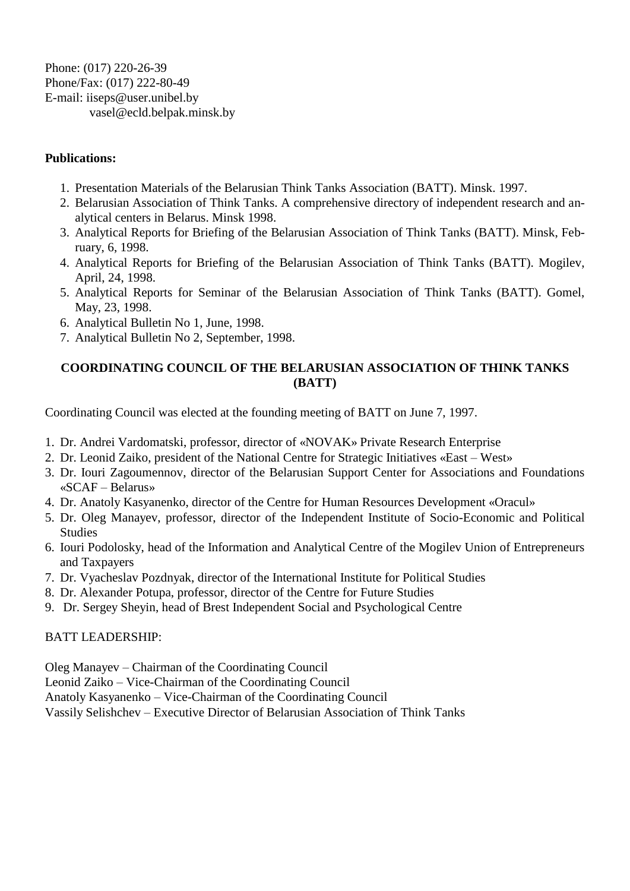Phone: (017) 220-26-39 Phone/Fax: (017) 222-80-49 E-mail: iiseps@user.unibel.by vasel@ecld.belpak.minsk.by

# **Publications:**

- 1. Presentation Materials of the Belarusian Think Tanks Association (BATT). Minsk. 1997.
- 2. Belarusian Association of Think Tanks. A comprehensive directory of independent research and analytical centers in Belarus. Minsk 1998.
- 3. Analytical Reports for Briefing of the Belarusian Association of Think Tanks (BATT). Minsk, February, 6, 1998.
- 4. Analytical Reports for Briefing of the Belarusian Association of Think Tanks (BATT). Mogilev, April, 24, 1998.
- 5. Analytical Reports for Seminar of the Belarusian Association of Think Tanks (BATT). Gomel, May, 23, 1998.
- 6. Analytical Bulletin No 1, June, 1998.
- 7. Analytical Bulletin No 2, September, 1998.

# **COORDINATING COUNCIL OF THE BELARUSIAN ASSOCIATION OF THINK TANKS (BATT)**

Coordinating Council was elected at the founding meeting of BATT on June 7, 1997.

- 1. Dr. Andrei Vardomatski, professor, director of «NOVAK» Private Research Enterprise
- 2. Dr. Leonid Zaiko, president of the National Centre for Strategic Initiatives «East West»
- 3. Dr. Iouri Zagoumennov, director of the Belarusian Support Center for Associations and Foundations «SCAF – Belarus»
- 4. Dr. Anatoly Kasyanenko, director of the Centre for Human Resources Development «Oracul»
- 5. Dr. Oleg Manayev, professor, director of the Independent Institute of Socio-Economic and Political Studies
- 6. Iouri Podolosky, head of the Information and Analytical Centre of the Mogilev Union of Entrepreneurs and Taxpayers
- 7. Dr. Vyacheslav Pozdnyak, director of the International Institute for Political Studies
- 8. Dr. Alexander Potupa, professor, director of the Centre for Future Studies
- 9. Dr. Sergey Sheyin, head of Brest Independent Social and Psychological Centre

# BATT LEADERSHIP:

Oleg Manayev – Chairman of the Coordinating Council

Leonid Zaiko – Vice-Chairman of the Coordinating Council

Anatoly Kasyanenko – Vice-Chairman of the Coordinating Council

Vassily Selishchev – Executive Director of Belarusian Association of Think Tanks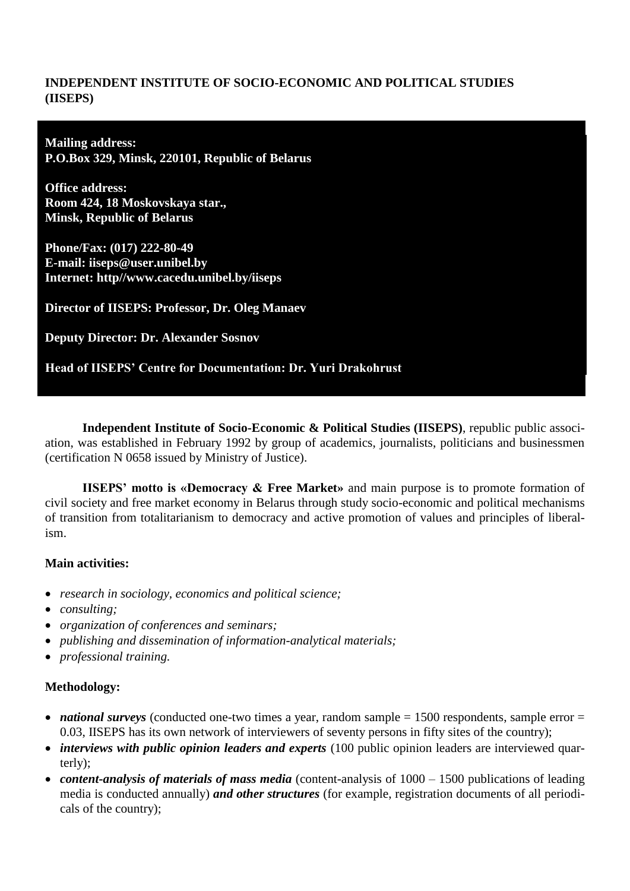## **INDEPENDENT INSTITUTE OF SOCIO-ECONOMIC AND POLITICAL STUDIES (IISEPS)**

**Mailing address: P.O.Box 329, Minsk, 220101, Republic of Belarus**

**Office address: Room 424, 18 Moskovskaya star., Minsk, Republic of Belarus**

**Phone/Fax: (017) 222-80-49 E-mail: iiseps@user.unibel.by Internet: http//www.cacedu.unibel.by/iiseps**

**Director of IISEPS: Professor, Dr. Oleg Manaev**

**Deputy Director: Dr. Alexander Sosnov**

**Head of IISEPS' Centre for Documentation: Dr. Yuri Drakohrust**

**Independent Institute of Socio-Economic & Political Studies (IISEPS)**, republic public association, was established in February 1992 by group of academics, journalists, politicians and businessmen (certification N 0658 issued by Ministry of Justice).

**IISEPS' motto is «Democracy & Free Market»** and main purpose is to promote formation of civil society and free market economy in Belarus through study socio-economic and political mechanisms of transition from totalitarianism to democracy and active promotion of values and principles of liberalism.

## **Main activities:**

- *research in sociology, economics and political science;*
- *consulting;*
- *organization of conferences and seminars;*
- *publishing and dissemination of information-analytical materials;*
- *professional training.*

## **Methodology:**

- *national surveys* (conducted one-two times a year, random sample = 1500 respondents, sample error = 0.03, IISEPS has its own network of interviewers of seventy persons in fifty sites of the country);
- *interviews with public opinion leaders and experts* (100 public opinion leaders are interviewed quarterly);
- *content-analysis of materials of mass media* (content-analysis of  $1000 1500$  publications of leading media is conducted annually) *and other structures* (for example, registration documents of all periodicals of the country);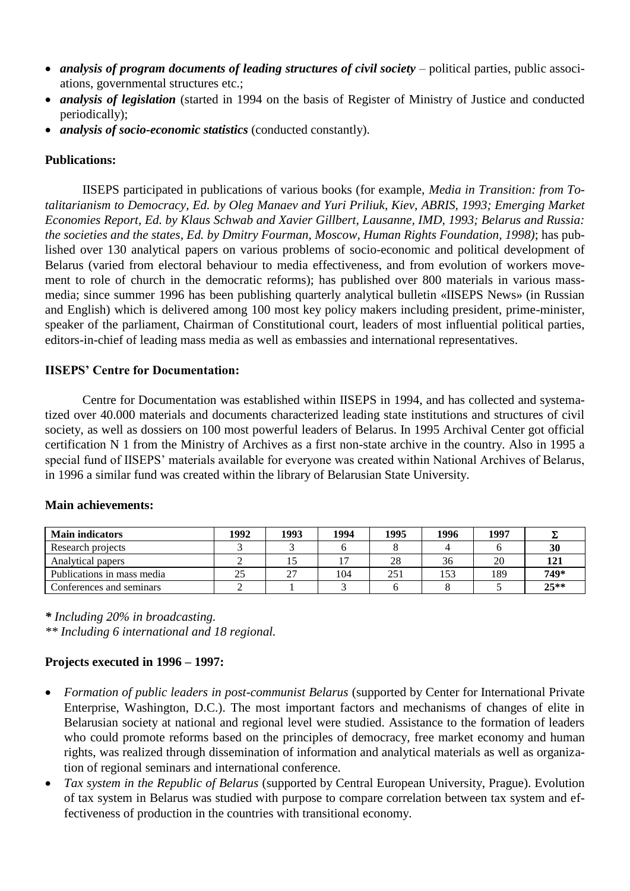- *analysis of program documents of leading structures of civil society* political parties, public associations, governmental structures etc.;
- *analysis of legislation* (started in 1994 on the basis of Register of Ministry of Justice and conducted periodically);
- *analysis of socio-economic statistics* (conducted constantly).

## **Publications:**

IISEPS participated in publications of various books (for example, *Media in Transition: from Totalitarianism to Democracy, Ed. by Oleg Manaev and Yuri Priliuk, Kiev, ABRIS, 1993; Emerging Market Economies Report, Ed. by Klaus Schwab and Xavier Gillbert, Lausanne, IMD, 1993; Belarus and Russia: the societies and the states, Ed. by Dmitry Fourman, Moscow, Human Rights Foundation, 1998)*; has published over 130 analytical papers on various problems of socio-economic and political development of Belarus (varied from electoral behaviour to media effectiveness, and from evolution of workers movement to role of church in the democratic reforms); has published over 800 materials in various massmedia; since summer 1996 has been publishing quarterly analytical bulletin «IISEPS News» (in Russian and English) which is delivered among 100 most key policy makers including president, prime-minister, speaker of the parliament, Chairman of Constitutional court, leaders of most influential political parties, editors-in-chief of leading mass media as well as embassies and international representatives.

### **IISEPS' Centre for Documentation:**

Centre for Documentation was established within IISEPS in 1994, and has collected and systematized over 40.000 materials and documents characterized leading state institutions and structures of civil society, as well as dossiers on 100 most powerful leaders of Belarus. In 1995 Archival Center got official certification N 1 from the Ministry of Archives as a first non-state archive in the country. Also in 1995 a special fund of IISEPS' materials available for everyone was created within National Archives of Belarus, in 1996 a similar fund was created within the library of Belarusian State University.

| <b>Main indicators</b>     | 1992 | 1993 | 1994 | 1995 | 1996 | 1997 |        |
|----------------------------|------|------|------|------|------|------|--------|
| Research projects          |      |      |      |      |      |      | 30     |
| Analytical papers          |      |      |      | 28   | 36   | 20   | 121    |
| Publications in mass media | 25   | 27   | 104  | 251  | 153  | 189  | 749*   |
| Conferences and seminars   |      |      |      |      |      |      | $25**$ |

### **Main achievements:**

*\* Including 20% in broadcasting.*

*\*\* Including 6 international and 18 regional.*

## **Projects executed in 1996 – 1997:**

- *Formation of public leaders in post-communist Belarus* (supported by Center for International Private Enterprise, Washington, D.C.). The most important factors and mechanisms of changes of elite in Belarusian society at national and regional level were studied. Assistance to the formation of leaders who could promote reforms based on the principles of democracy, free market economy and human rights, was realized through dissemination of information and analytical materials as well as organization of regional seminars and international conference.
- *Tax system in the Republic of Belarus* (supported by Central European University, Prague). Evolution of tax system in Belarus was studied with purpose to compare correlation between tax system and effectiveness of production in the countries with transitional economy.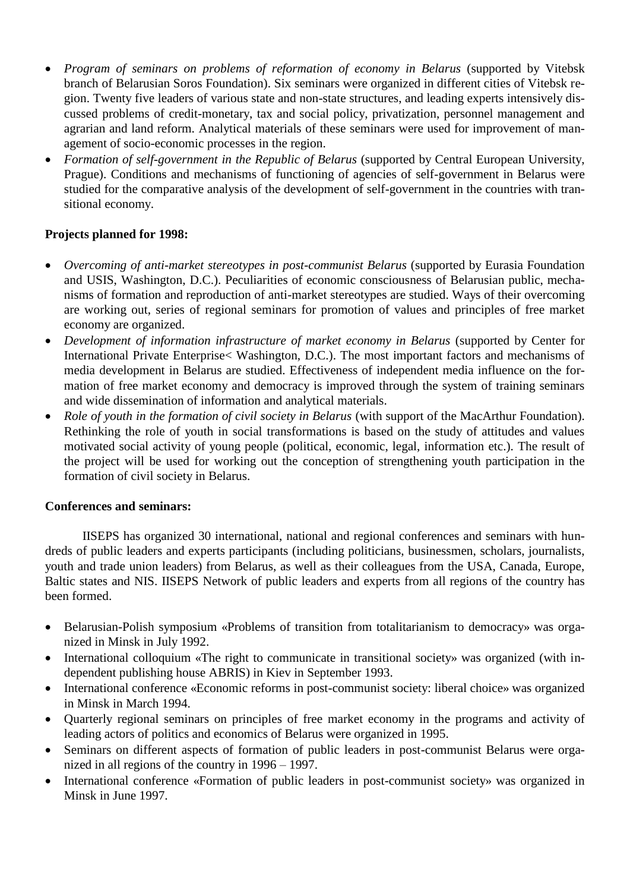- Program of seminars on problems of reformation of economy in Belarus (supported by Vitebsk branch of Belarusian Soros Foundation). Six seminars were organized in different cities of Vitebsk region. Twenty five leaders of various state and non-state structures, and leading experts intensively discussed problems of credit-monetary, tax and social policy, privatization, personnel management and agrarian and land reform. Analytical materials of these seminars were used for improvement of management of socio-economic processes in the region.
- Formation of self-government in the Republic of Belarus (supported by Central European University, Prague). Conditions and mechanisms of functioning of agencies of self-government in Belarus were studied for the comparative analysis of the development of self-government in the countries with transitional economy.

# **Projects planned for 1998:**

- *Overcoming of anti-market stereotypes in post-communist Belarus* (supported by Eurasia Foundation and USIS, Washington, D.C.). Peculiarities of economic consciousness of Belarusian public, mechanisms of formation and reproduction of anti-market stereotypes are studied. Ways of their overcoming are working out, series of regional seminars for promotion of values and principles of free market economy are organized.
- *Development of information infrastructure of market economy in Belarus* (supported by Center for International Private Enterprise< Washington, D.C.). The most important factors and mechanisms of media development in Belarus are studied. Effectiveness of independent media influence on the formation of free market economy and democracy is improved through the system of training seminars and wide dissemination of information and analytical materials.
- *Role of youth in the formation of civil society in Belarus* (with support of the MacArthur Foundation). Rethinking the role of youth in social transformations is based on the study of attitudes and values motivated social activity of young people (political, economic, legal, information etc.). The result of the project will be used for working out the conception of strengthening youth participation in the formation of civil society in Belarus.

## **Conferences and seminars:**

IISEPS has organized 30 international, national and regional conferences and seminars with hundreds of public leaders and experts participants (including politicians, businessmen, scholars, journalists, youth and trade union leaders) from Belarus, as well as their colleagues from the USA, Canada, Europe, Baltic states and NIS. IISEPS Network of public leaders and experts from all regions of the country has been formed.

- Belarusian-Polish symposium «Problems of transition from totalitarianism to democracy» was organized in Minsk in July 1992.
- International colloquium «The right to communicate in transitional society» was organized (with independent publishing house ABRIS) in Kiev in September 1993.
- International conference «Economic reforms in post-communist society: liberal choice» was organized in Minsk in March 1994.
- Quarterly regional seminars on principles of free market economy in the programs and activity of leading actors of politics and economics of Belarus were organized in 1995.
- Seminars on different aspects of formation of public leaders in post-communist Belarus were organized in all regions of the country in 1996 – 1997.
- International conference «Formation of public leaders in post-communist society» was organized in Minsk in June 1997.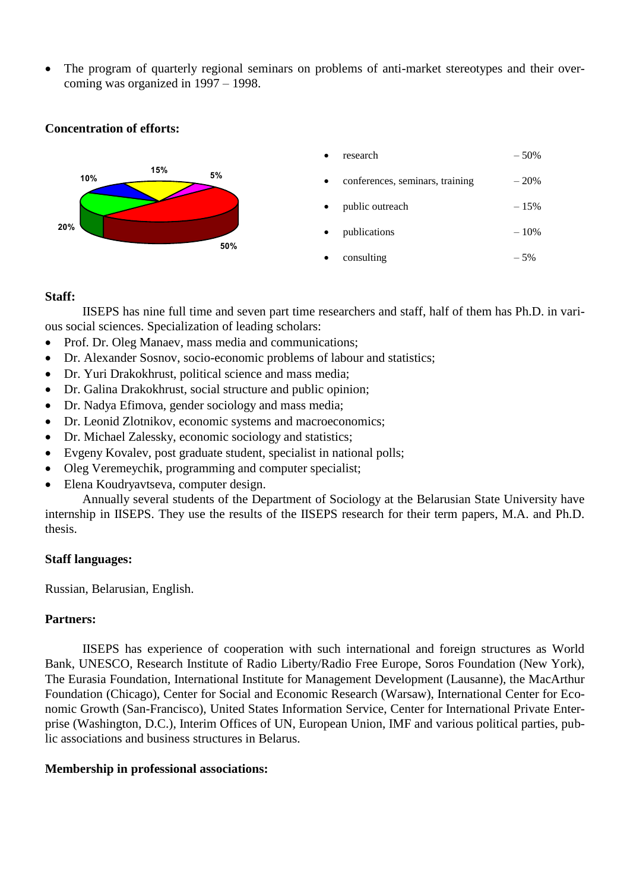The program of quarterly regional seminars on problems of anti-market stereotypes and their overcoming was organized in 1997 – 1998.

### **Concentration of efforts:**



### **Staff:**

IISEPS has nine full time and seven part time researchers and staff, half of them has Ph.D. in various social sciences. Specialization of leading scholars:

- Prof. Dr. Oleg Manaev, mass media and communications;
- Dr. Alexander Sosnov, socio-economic problems of labour and statistics;
- Dr. Yuri Drakokhrust, political science and mass media;
- Dr. Galina Drakokhrust, social structure and public opinion;
- Dr. Nadya Efimova, gender sociology and mass media;
- Dr. Leonid Zlotnikov, economic systems and macroeconomics;
- Dr. Michael Zalessky, economic sociology and statistics;
- Evgeny Kovalev, post graduate student, specialist in national polls;
- Oleg Veremeychik, programming and computer specialist;
- Elena Koudryavtseva, computer design.

Annually several students of the Department of Sociology at the Belarusian State University have internship in IISEPS. They use the results of the IISEPS research for their term papers, M.A. and Ph.D. thesis.

### **Staff languages:**

Russian, Belarusian, English.

### **Partners:**

IISEPS has experience of cooperation with such international and foreign structures as World Bank, UNESCO, Research Institute of Radio Liberty/Radio Free Europe, Soros Foundation (New York), The Eurasia Foundation, International Institute for Management Development (Lausanne), the MacArthur Foundation (Chicago), Center for Social and Economic Research (Warsaw), International Center for Economic Growth (San-Francisco), United States Information Service, Center for International Private Enterprise (Washington, D.C.), Interim Offices of UN, European Union, IMF and various political parties, public associations and business structures in Belarus.

### **Membership in professional associations:**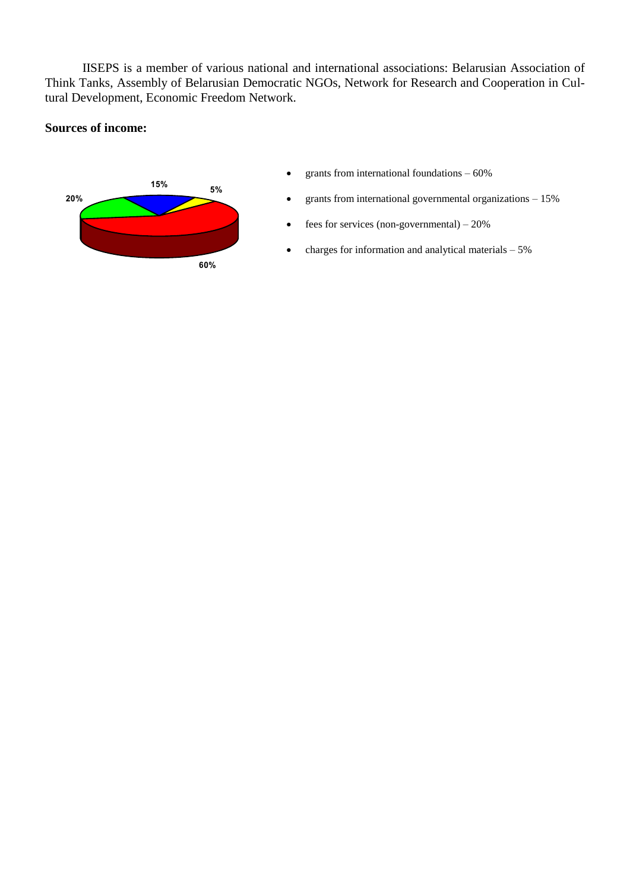IISEPS is a member of various national and international associations: Belarusian Association of Think Tanks, Assembly of Belarusian Democratic NGOs, Network for Research and Cooperation in Cultural Development, Economic Freedom Network.

#### **Sources of income:**



- grants from international foundations  $-60\%$
- grants from international governmental organizations 15%
- $\bullet$  fees for services (non-governmental) 20%
- $\bullet$  charges for information and analytical materials  $-5\%$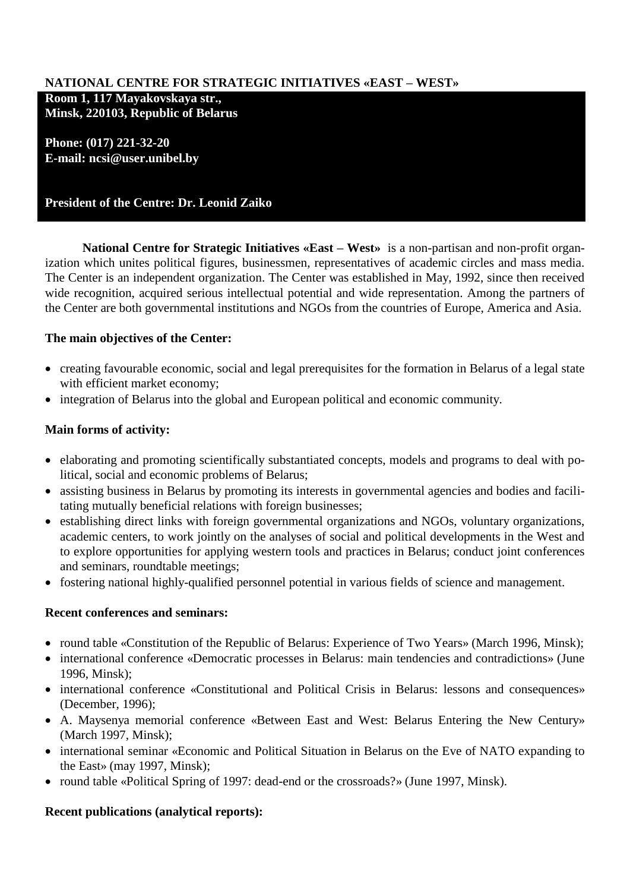# **NATIONAL CENTRE FOR STRATEGIC INITIATIVES «EAST – WEST»**

**Room 1, 117 Mayakovskaya str., Minsk, 220103, Republic of Belarus**

**Phone: (017) 221-32-20 E-mail: ncsi@user.unibel.by**

# **President of the Centre: Dr. Leonid Zaiko**

**National Centre for Strategic Initiatives «East – West»** is a non-partisan and non-profit organization which unites political figures, businessmen, representatives of academic circles and mass media. The Center is an independent organization. The Center was established in May, 1992, since then received wide recognition, acquired serious intellectual potential and wide representation. Among the partners of the Center are both governmental institutions and NGOs from the countries of Europe, America and Asia.

# **The main objectives of the Center:**

- creating favourable economic, social and legal prerequisites for the formation in Belarus of a legal state with efficient market economy;
- integration of Belarus into the global and European political and economic community.

# **Main forms of activity:**

- elaborating and promoting scientifically substantiated concepts, models and programs to deal with political, social and economic problems of Belarus;
- assisting business in Belarus by promoting its interests in governmental agencies and bodies and facilitating mutually beneficial relations with foreign businesses;
- establishing direct links with foreign governmental organizations and NGOs, voluntary organizations, academic centers, to work jointly on the analyses of social and political developments in the West and to explore opportunities for applying western tools and practices in Belarus; conduct joint conferences and seminars, roundtable meetings;
- fostering national highly-qualified personnel potential in various fields of science and management.

## **Recent conferences and seminars:**

- round table «Constitution of the Republic of Belarus: Experience of Two Years» (March 1996, Minsk);
- international conference «Democratic processes in Belarus: main tendencies and contradictions» (June 1996, Minsk);
- international conference «Constitutional and Political Crisis in Belarus: lessons and consequences» (December, 1996);
- A. Maysenya memorial conference «Between East and West: Belarus Entering the New Century» (March 1997, Minsk);
- international seminar «Economic and Political Situation in Belarus on the Eve of NATO expanding to the East» (may 1997, Minsk);
- round table «Political Spring of 1997: dead-end or the crossroads?» (June 1997, Minsk).

# **Recent publications (analytical reports):**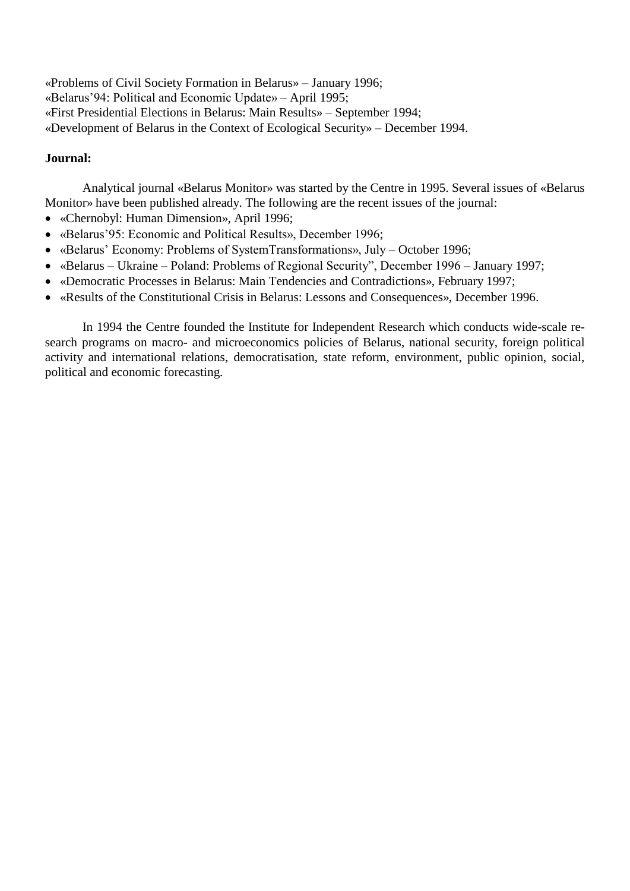«Problems of Civil Society Formation in Belarus» – January 1996; «Belarus'94: Political and Economic Update» – April 1995; «First Presidential Elections in Belarus: Main Results» – September 1994; «Development of Belarus in the Context of Ecological Security» – December 1994.

### **Journal:**

Analytical journal «Belarus Monitor» was started by the Centre in 1995. Several issues of «Belarus Monitor» have been published already. The following are the recent issues of the journal:

- «Chernobyl: Human Dimension», April 1996;
- «Belarus'95: Economic and Political Results», December 1996;
- «Belarus' Economy: Problems of SystemTransformations», July October 1996;
- «Belarus Ukraine Poland: Problems of Regional Security", December 1996 January 1997;
- «Democratic Processes in Belarus: Main Tendencies and Contradictions», February 1997;
- «Results of the Constitutional Crisis in Belarus: Lessons and Consequences», December 1996.

In 1994 the Centre founded the Institute for Independent Research which conducts wide-scale research programs on macro- and microeconomics policies of Belarus, national security, foreign political activity and international relations, democratisation, state reform, environment, public opinion, social, political and economic forecasting.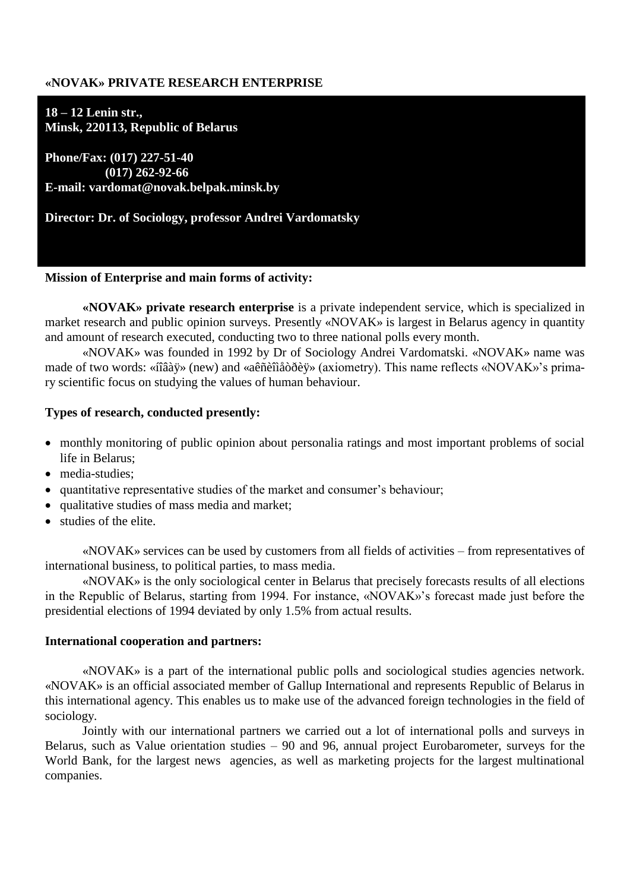### **«NOVAK» PRIVATE RESEARCH ENTERPRISE**

**18 – 12 Lenin str., Minsk, 220113, Republic of Belarus**

**Phone/Fax: (017) 227-51-40 (017) 262-92-66 E-mail: vardomat@novak.belpak.minsk.by**

**Director: Dr. of Sociology, professor Andrei Vardomatsky**

#### **Mission of Enterprise and main forms of activity:**

**«NOVAK» private research enterprise** is a private independent service, which is specialized in market research and public opinion surveys. Presently «NOVAK» is largest in Belarus agency in quantity and amount of research executed, conducting two to three national polls every month.

«NOVAK» was founded in 1992 by Dr of Sociology Andrei Vardomatski. «NOVAK» name was made of two words: «íîâàÿ» (new) and «aêñèîìåòðèÿ» (axiometry). This name reflects «NOVAK»'s primary scientific focus on studying the values of human behaviour.

#### **Types of research, conducted presently:**

- monthly monitoring of public opinion about personalia ratings and most important problems of social life in Belarus;
- media-studies:
- quantitative representative studies of the market and consumer's behaviour;
- qualitative studies of mass media and market:
- studies of the elite.

«NOVAK» services can be used by customers from all fields of activities – from representatives of international business, to political parties, to mass media.

«NOVAK» is the only sociological center in Belarus that precisely forecasts results of all elections in the Republic of Belarus, starting from 1994. For instance, «NOVAK»'s forecast made just before the presidential elections of 1994 deviated by only 1.5% from actual results.

#### **International cooperation and partners:**

«NOVAK» is a part of the international public polls and sociological studies agencies network. «NOVAK» is an official associated member of Gallup International and represents Republic of Belarus in this international agency. This enables us to make use of the advanced foreign technologies in the field of sociology.

Jointly with our international partners we carried out a lot of international polls and surveys in Belarus, such as Value orientation studies – 90 and 96, annual project Eurobarometer, surveys for the World Bank, for the largest news agencies, as well as marketing projects for the largest multinational companies.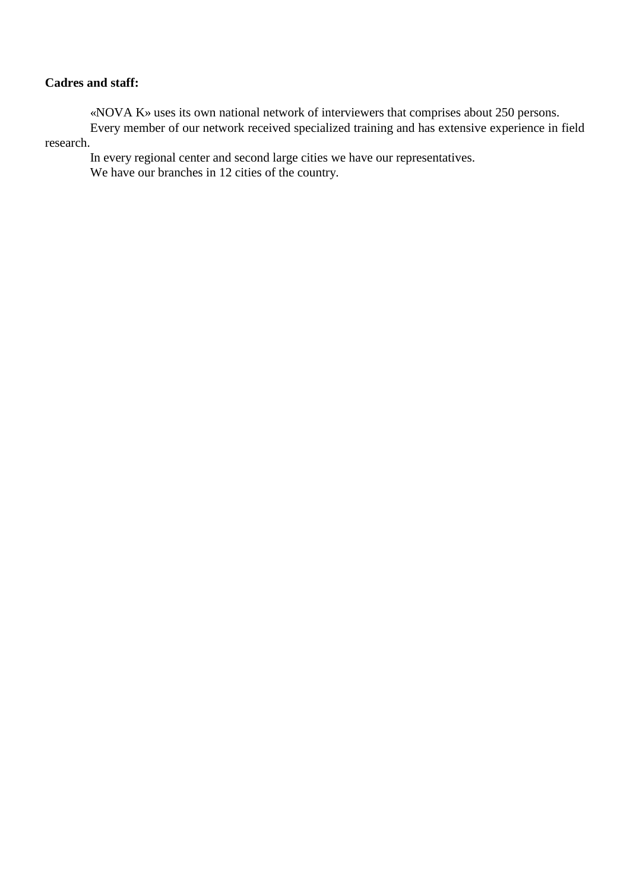### **Cadres and staff:**

«NOVA K» uses its own national network of interviewers that comprises about 250 persons.

Every member of our network received specialized training and has extensive experience in field research.

In every regional center and second large cities we have our representatives. We have our branches in 12 cities of the country.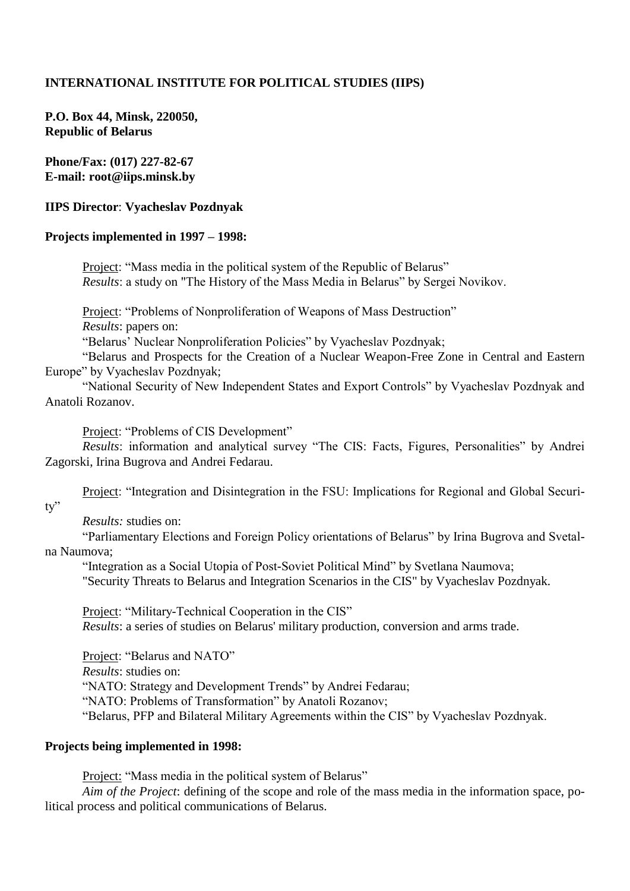### **INTERNATIONAL INSTITUTE FOR POLITICAL STUDIES (IIPS)**

**P.O. Box 44, Minsk, 220050, Republic of Belarus**

**Phone/Fax: (017) 227-82-67 E-mail: root@iips.minsk.by**

#### **IIPS Director**: **Vyacheslav Pozdnyak**

#### **Projects implemented in 1997 – 1998:**

Project: "Mass media in the political system of the Republic of Belarus" *Results*: a study on "The History of the Mass Media in Belarus" by Sergei Novikov.

Project: "Problems of Nonproliferation of Weapons of Mass Destruction"

*Results*: papers on:

"Belarus' Nuclear Nonproliferation Policies" by Vyacheslav Pozdnyak;

"Belarus and Prospects for the Creation of a Nuclear Weapon-Free Zone in Central and Eastern Europe" by Vyacheslav Pozdnyak;

"National Security of New Independent States and Export Controls" by Vyacheslav Pozdnyak and Anatoli Rozanov.

Project: "Problems of CIS Development"

*Results*: information and analytical survey "The CIS: Facts, Figures, Personalities" by Andrei Zagorski, Irina Bugrova and Andrei Fedarau.

Project: "Integration and Disintegration in the FSU: Implications for Regional and Global Securi-

ty"

*Results:* studies on:

"Parliamentary Elections and Foreign Policy orientations of Belarus" by Irina Bugrova and Svetalna Naumova;

"Integration as a Social Utopia of Post-Soviet Political Mind" by Svetlana Naumova;

"Security Threats to Belarus and Integration Scenarios in the CIS" by Vyacheslav Pozdnyak.

Project: "Military-Technical Cooperation in the CIS"

*Results*: a series of studies on Belarus' military production, conversion and arms trade.

Project: "Belarus and NATO"

*Results*: studies on:

"NATO: Strategy and Development Trends" by Andrei Fedarau;

"NATO: Problems of Transformation" by Anatoli Rozanov;

"Belarus, PFP and Bilateral Military Agreements within the CIS" by Vyacheslav Pozdnyak.

#### **Projects being implemented in 1998:**

Project: "Mass media in the political system of Belarus"

*Aim of the Project*: defining of the scope and role of the mass media in the information space, political process and political communications of Belarus.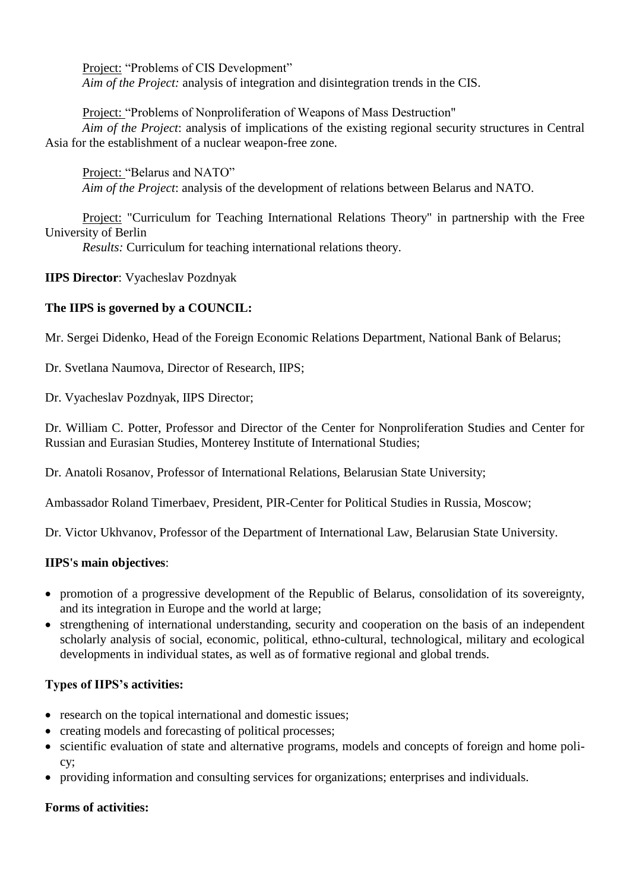Project: "Problems of CIS Development"

*Aim of the Project:* analysis of integration and disintegration trends in the CIS.

Project: "Problems of Nonproliferation of Weapons of Mass Destruction"

*Aim of the Project*: analysis of implications of the existing regional security structures in Central Asia for the establishment of a nuclear weapon-free zone.

Project: "Belarus and NATO" *Aim of the Project*: analysis of the development of relations between Belarus and NATO.

Project: "Curriculum for Teaching International Relations Theory" in partnership with the Free University of Berlin

*Results:* Curriculum for teaching international relations theory.

**IIPS Director**: Vyacheslav Pozdnyak

# **The IIPS is governed by a COUNCIL:**

Mr. Sergei Didenko, Head of the Foreign Economic Relations Department, National Bank of Belarus;

Dr. Svetlana Naumova, Director of Research, IIPS;

Dr. Vyacheslav Pozdnyak, IIPS Director;

Dr. William C. Potter, Professor and Director of the Center for Nonproliferation Studies and Center for Russian and Eurasian Studies, Monterey Institute of International Studies;

Dr. Anatoli Rosanov, Professor of International Relations, Belarusian State University;

Ambassador Roland Timerbaev, President, PIR-Center for Political Studies in Russia, Moscow;

Dr. Victor Ukhvanov, Professor of the Department of International Law, Belarusian State University.

## **IIPS's main objectives**:

- promotion of a progressive development of the Republic of Belarus, consolidation of its sovereignty, and its integration in Europe and the world at large;
- strengthening of international understanding, security and cooperation on the basis of an independent scholarly analysis of social, economic, political, ethno-cultural, technological, military and ecological developments in individual states, as well as of formative regional and global trends.

# **Types of IIPS's activities:**

- research on the topical international and domestic issues;
- creating models and forecasting of political processes;
- scientific evaluation of state and alternative programs, models and concepts of foreign and home policy;
- providing information and consulting services for organizations; enterprises and individuals.

# **Forms of activities:**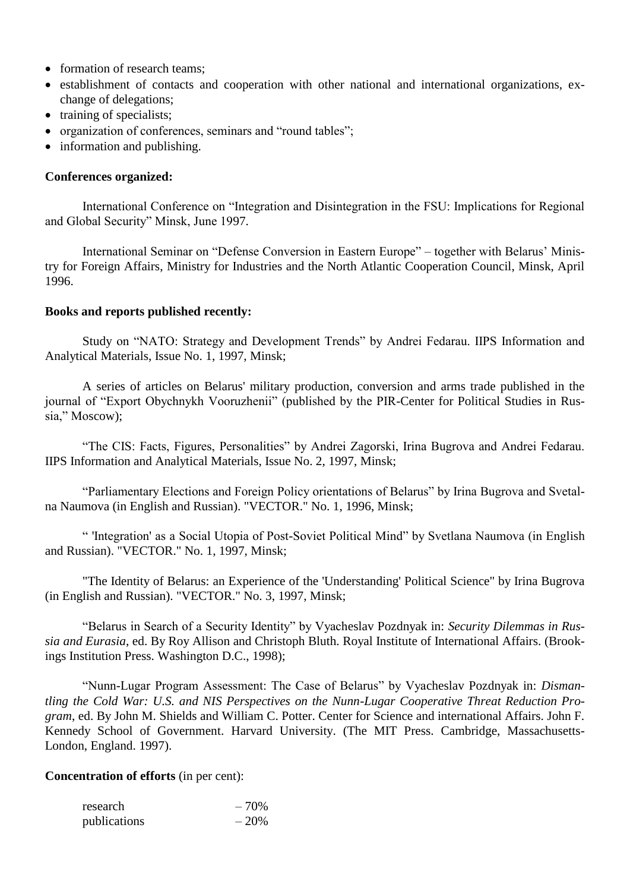- formation of research teams;
- establishment of contacts and cooperation with other national and international organizations, exchange of delegations;
- training of specialists;
- organization of conferences, seminars and "round tables";
- information and publishing.

### **Conferences organized:**

International Conference on "Integration and Disintegration in the FSU: Implications for Regional and Global Security" Minsk, June 1997.

International Seminar on "Defense Conversion in Eastern Europe" – together with Belarus' Ministry for Foreign Affairs, Ministry for Industries and the North Atlantic Cooperation Council, Minsk, April 1996.

#### **Books and reports published recently:**

Study on "NATO: Strategy and Development Trends" by Andrei Fedarau. IIPS Information and Analytical Materials, Issue No. 1, 1997, Minsk;

A series of articles on Belarus' military production, conversion and arms trade published in the journal of "Export Obychnykh Vooruzhenii" (published by the PIR-Center for Political Studies in Russia," Moscow);

"The CIS: Facts, Figures, Personalities" by Andrei Zagorski, Irina Bugrova and Andrei Fedarau. IIPS Information and Analytical Materials, Issue No. 2, 1997, Minsk;

"Parliamentary Elections and Foreign Policy orientations of Belarus" by Irina Bugrova and Svetalna Naumova (in English and Russian). "VECTOR." No. 1, 1996, Minsk;

" 'Integration' as a Social Utopia of Post-Soviet Political Mind" by Svetlana Naumova (in English and Russian). "VECTOR." No. 1, 1997, Minsk;

"The Identity of Belarus: an Experience of the 'Understanding' Political Science" by Irina Bugrova (in English and Russian). "VECTOR." No. 3, 1997, Minsk;

"Belarus in Search of a Security Identity" by Vyacheslav Pozdnyak in: *Security Dilemmas in Russia and Eurasia*, ed. By Roy Allison and Christoph Bluth. Royal Institute of International Affairs. (Brookings Institution Press. Washington D.C., 1998);

"Nunn-Lugar Program Assessment: The Case of Belarus" by Vyacheslav Pozdnyak in: *Dismantling the Cold War: U.S. and NIS Perspectives on the Nunn-Lugar Cooperative Threat Reduction Program*, ed. By John M. Shields and William C. Potter. Center for Science and international Affairs. John F. Kennedy School of Government. Harvard University. (The MIT Press. Cambridge, Massachusetts-London, England. 1997).

### **Concentration of efforts** (in per cent):

| research     | $-70%$ |
|--------------|--------|
| publications | $-20%$ |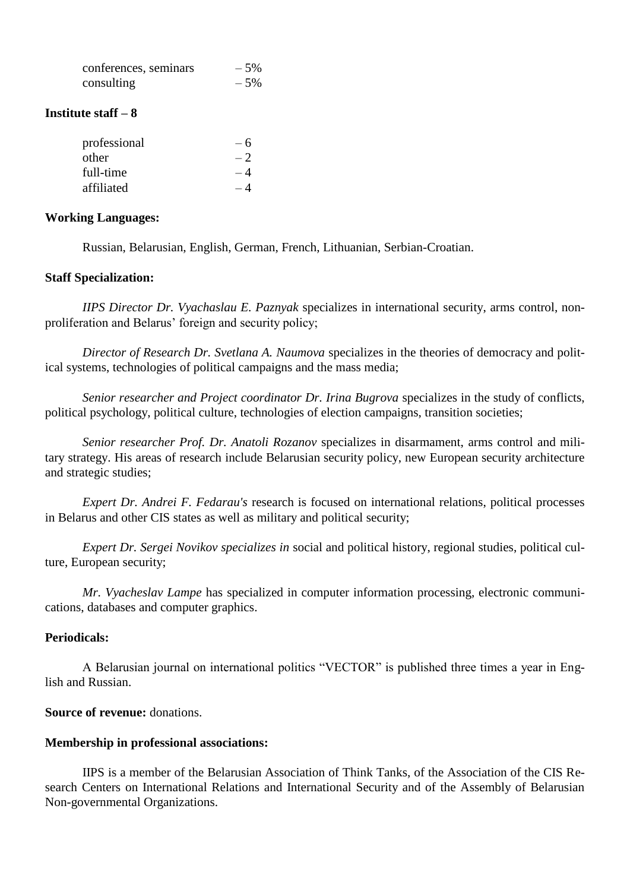| conferences, seminars | $-5%$ |
|-----------------------|-------|
| consulting            | $-5%$ |

#### **Institute staff – 8**

| professional | - 6  |
|--------------|------|
| other        | $-2$ |
| full-time    | - 4  |
| affiliated   |      |

#### **Working Languages:**

Russian, Belarusian, English, German, French, Lithuanian, Serbian-Croatian.

#### **Staff Specialization:**

*IIPS Director Dr. Vyachaslau E. Paznyak* specializes in international security, arms control, nonproliferation and Belarus' foreign and security policy;

*Director of Research Dr. Svetlana A. Naumova* specializes in the theories of democracy and political systems, technologies of political campaigns and the mass media;

*Senior researcher and Project coordinator Dr. Irina Bugrova* specializes in the study of conflicts, political psychology, political culture, technologies of election campaigns, transition societies;

*Senior researcher Prof. Dr. Anatoli Rozanov* specializes in disarmament, arms control and military strategy. His areas of research include Belarusian security policy, new European security architecture and strategic studies;

*Expert Dr. Andrei F. Fedarau's* research is focused on international relations, political processes in Belarus and other CIS states as well as military and political security;

*Expert Dr. Sergei Novikov specializes in* social and political history, regional studies, political culture, European security;

*Mr. Vyacheslav Lampe* has specialized in computer information processing, electronic communications, databases and computer graphics.

### **Periodicals:**

A Belarusian journal on international politics "VECTOR" is published three times a year in English and Russian.

### **Source of revenue:** donations.

#### **Membership in professional associations:**

IIPS is a member of the Belarusian Association of Think Tanks, of the Association of the CIS Research Centers on International Relations and International Security and of the Assembly of Belarusian Non-governmental Organizations.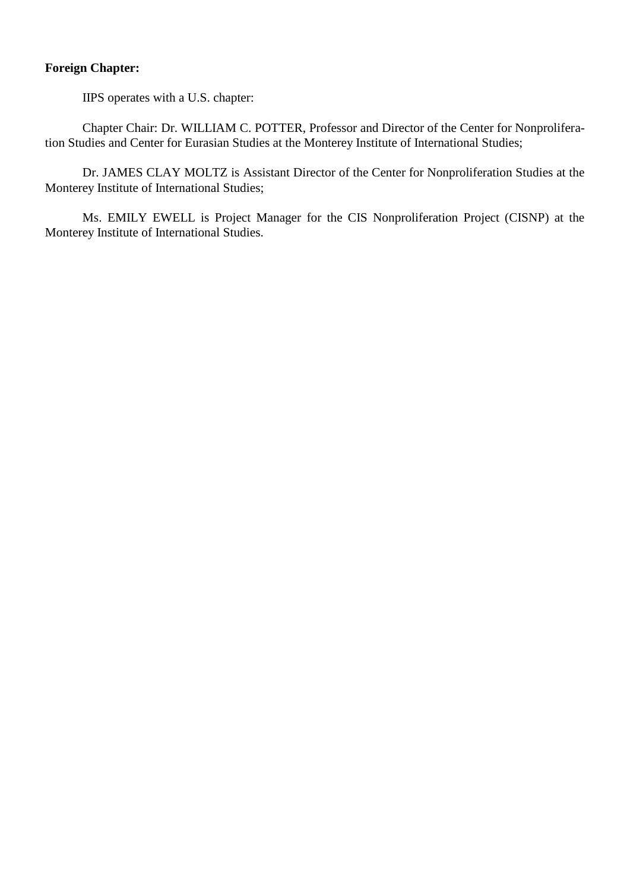# **Foreign Chapter:**

IIPS operates with a U.S. chapter:

Chapter Chair: Dr. WILLIAM C. POTTER, Professor and Director of the Center for Nonproliferation Studies and Center for Eurasian Studies at the Monterey Institute of International Studies;

Dr. JAMES CLAY MOLTZ is Assistant Director of the Center for Nonproliferation Studies at the Monterey Institute of International Studies;

Ms. EMILY EWELL is Project Manager for the CIS Nonproliferation Project (CISNP) at the Monterey Institute of International Studies.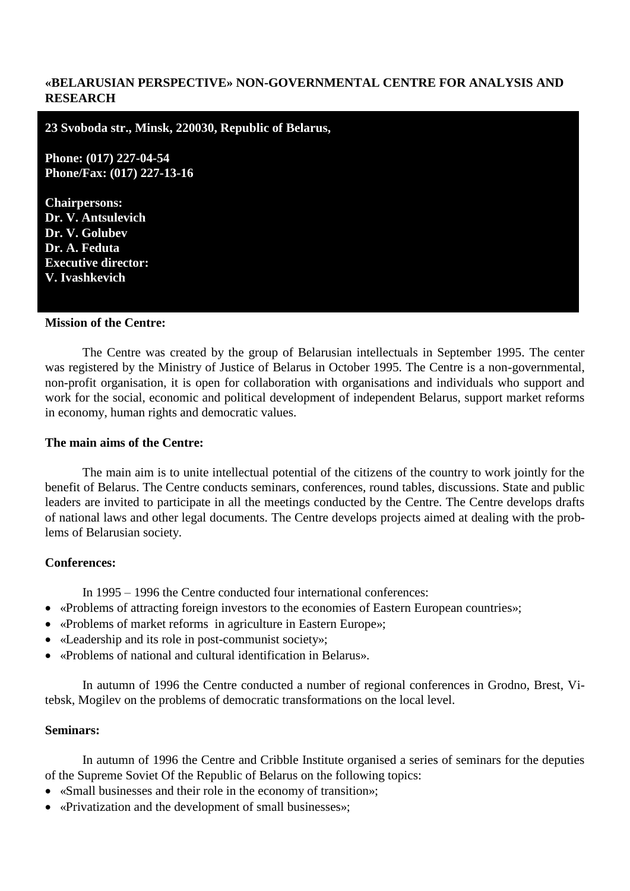### **«BELARUSIAN PERSPECTIVE» NON-GOVERNMENTAL CENTRE FOR ANALYSIS AND RESEARCH**

**23 Svoboda str., Minsk, 220030, Republic of Belarus,**

**Phone: (017) 227-04-54 Phone/Fax: (017) 227-13-16**

**Chairpersons: Dr. V. Antsulevich Dr. V. Golubev Dr. A. Feduta Executive director: V. Ivashkevich**

#### **Mission of the Centre:**

The Centre was created by the group of Belarusian intellectuals in September 1995. The center was registered by the Ministry of Justice of Belarus in October 1995. The Centre is a non-governmental, non-profit organisation, it is open for collaboration with organisations and individuals who support and work for the social, economic and political development of independent Belarus, support market reforms in economy, human rights and democratic values.

#### **The main aims of the Centre:**

The main aim is to unite intellectual potential of the citizens of the country to work jointly for the benefit of Belarus. The Centre conducts seminars, conferences, round tables, discussions. State and public leaders are invited to participate in all the meetings conducted by the Centre. The Centre develops drafts of national laws and other legal documents. The Centre develops projects aimed at dealing with the problems of Belarusian society.

#### **Conferences:**

In 1995 – 1996 the Centre conducted four international conferences:

- «Problems of attracting foreign investors to the economies of Eastern European countries»;
- «Problems of market reforms in agriculture in Eastern Europe»;
- «Leadership and its role in post-communist society»;
- «Problems of national and cultural identification in Belarus».

In autumn of 1996 the Centre conducted a number of regional conferences in Grodno, Brest, Vitebsk, Mogilev on the problems of democratic transformations on the local level.

#### **Seminars:**

In autumn of 1996 the Centre and Cribble Institute organised a series of seminars for the deputies of the Supreme Soviet Of the Republic of Belarus on the following topics:

- «Small businesses and their role in the economy of transition»;
- «Privatization and the development of small businesses»;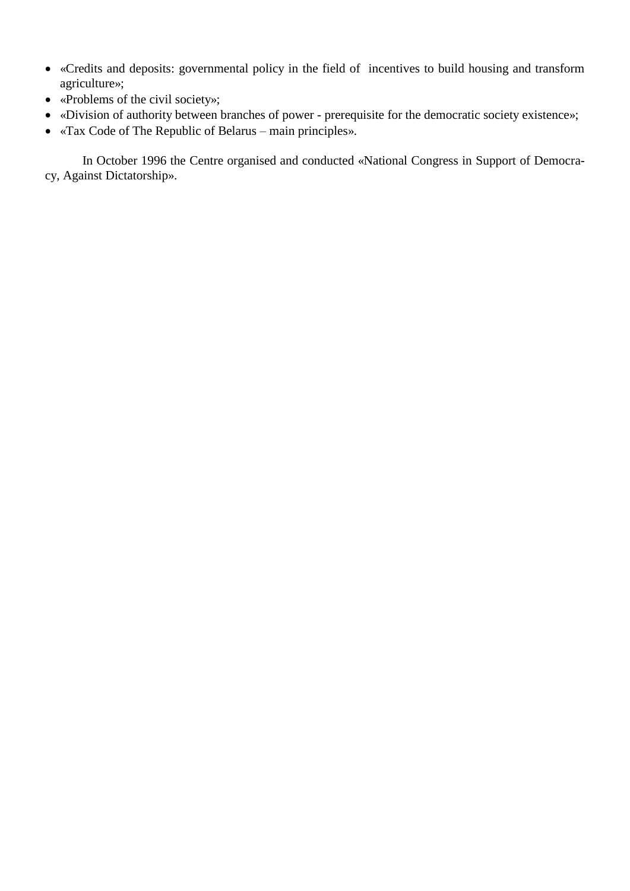- «Credits and deposits: governmental policy in the field of incentives to build housing and transform agriculture»;
- «Problems of the civil society»;
- «Division of authority between branches of power prerequisite for the democratic society existence»;
- «Tax Code of The Republic of Belarus main principles».

In October 1996 the Centre organised and conducted «National Congress in Support of Democracy, Against Dictatorship».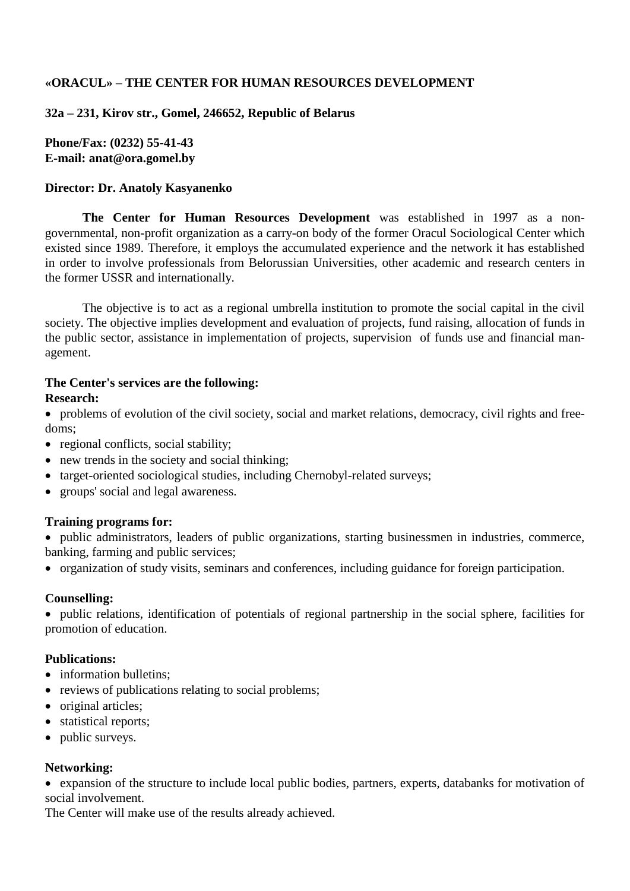## **«ORACUL» – THE CENTER FOR HUMAN RESOURCES DEVELOPMENT**

**32a – 231, Kirov str., Gomel, 246652, Republic of Belarus**

**Phone/Fax: (0232) 55-41-43 E-mail: anat@ora.gomel.by**

### **Director: Dr. Anatoly Kasyanenko**

**The Center for Human Resources Development** was established in 1997 as a nongovernmental, non-profit organization as a carry-on body of the former Oracul Sociological Center which existed since 1989. Therefore, it employs the accumulated experience and the network it has established in order to involve professionals from Belorussian Universities, other academic and research centers in the former USSR and internationally.

The objective is to act as a regional umbrella institution to promote the social capital in the civil society. The objective implies development and evaluation of projects, fund raising, allocation of funds in the public sector, assistance in implementation of projects, supervision of funds use and financial management.

#### **The Center's services are the following: Research:**

 problems of evolution of the civil society, social and market relations, democracy, civil rights and freedoms;

- regional conflicts, social stability;
- new trends in the society and social thinking;
- target-oriented sociological studies, including Chernobyl-related surveys;
- groups' social and legal awareness.

### **Training programs for:**

 public administrators, leaders of public organizations, starting businessmen in industries, commerce, banking, farming and public services;

organization of study visits, seminars and conferences, including guidance for foreign participation.

### **Counselling:**

 public relations, identification of potentials of regional partnership in the social sphere, facilities for promotion of education.

### **Publications:**

- information bulletins:
- reviews of publications relating to social problems;
- original articles;
- statistical reports;
- public surveys.

### **Networking:**

 expansion of the structure to include local public bodies, partners, experts, databanks for motivation of social involvement.

The Center will make use of the results already achieved.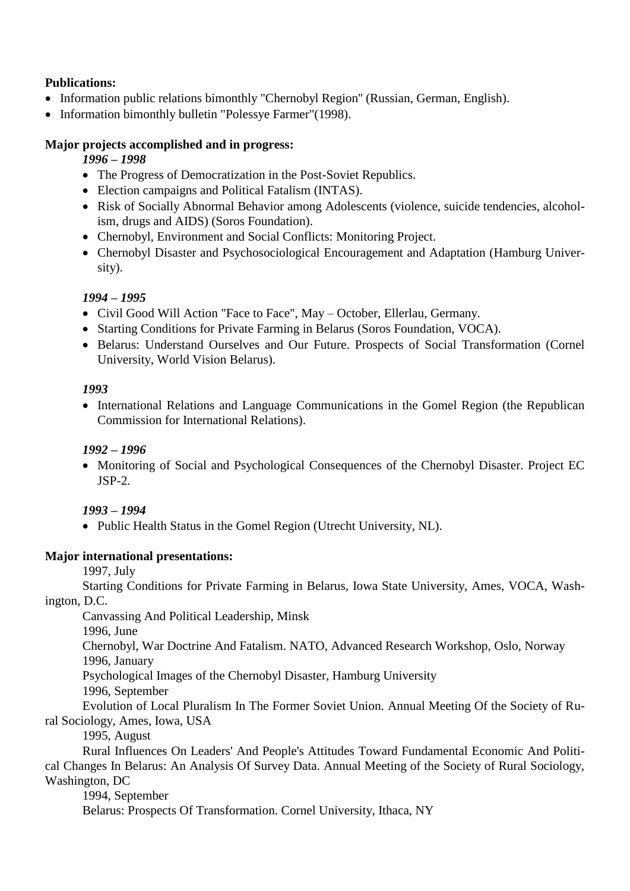# **Publications:**

- Information public relations bimonthly "Chernobyl Region" (Russian, German, English).
- Information bimonthly bulletin "Polessye Farmer"(1998).

## **Major projects accomplished and in progress:**

## *1996 – 1998*

- The Progress of Democratization in the Post-Soviet Republics.
- Election campaigns and Political Fatalism (INTAS).
- Risk of Socially Abnormal Behavior among Adolescents (violence, suicide tendencies, alcoholism, drugs and AIDS) (Soros Foundation).
- Chernobyl, Environment and Social Conflicts: Monitoring Project.
- Chernobyl Disaster and Psychosociological Encouragement and Adaptation (Hamburg University).

## *1994 – 1995*

- Civil Good Will Action "Face to Face", May October, Ellerlau, Germany.
- Starting Conditions for Private Farming in Belarus (Soros Foundation, VOCA).
- Belarus: Understand Ourselves and Our Future. Prospects of Social Transformation (Cornel University, World Vision Belarus).

## *1993*

• International Relations and Language Communications in the Gomel Region (the Republican Commission for International Relations).

## *1992 – 1996*

• Monitoring of Social and Psychological Consequences of the Chernobyl Disaster. Project EC JSP-2.

## *1993 – 1994*

• Public Health Status in the Gomel Region (Utrecht University, NL).

## **Major international presentations:**

1997, July

Starting Conditions for Private Farming in Belarus, Iowa State University, Ames, VOCA, Washington, D.C.

Canvassing And Political Leadership, Minsk

1996, June

Chernobyl, War Doctrine And Fatalism. NATO, Advanced Research Workshop, Oslo, Norway 1996, January

Psychological Images of the Chernobyl Disaster, Hamburg University

1996, September

Evolution of Local Pluralism In The Former Soviet Union. Annual Meeting Of the Society of Rural Sociology, Ames, Iowa, USA

1995, August

Rural Influences On Leaders' And People's Attitudes Toward Fundamental Economic And Political Changes In Belarus: An Analysis Of Survey Data. Annual Meeting of the Society of Rural Sociology, Washington, DC

1994, September Belarus: Prospects Of Transformation. Cornel University, Ithaca, NY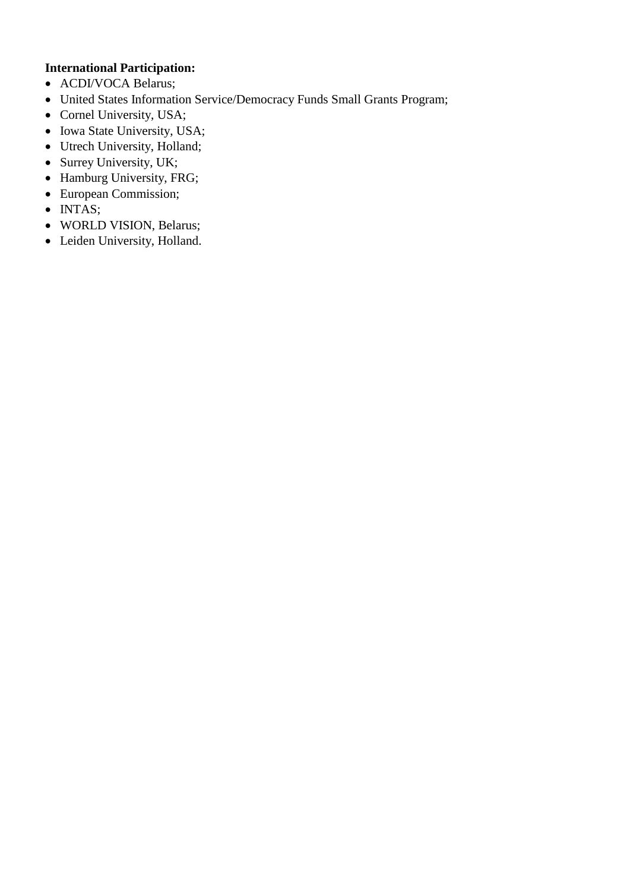# **International Participation:**

- ACDI/VOCA Belarus;
- United States Information Service/Democracy Funds Small Grants Program;
- Cornel University, USA;
- Iowa State University, USA;
- Utrech University, Holland;
- Surrey University, UK;
- Hamburg University, FRG;
- European Commission;
- INTAS;
- WORLD VISION, Belarus;
- Leiden University, Holland.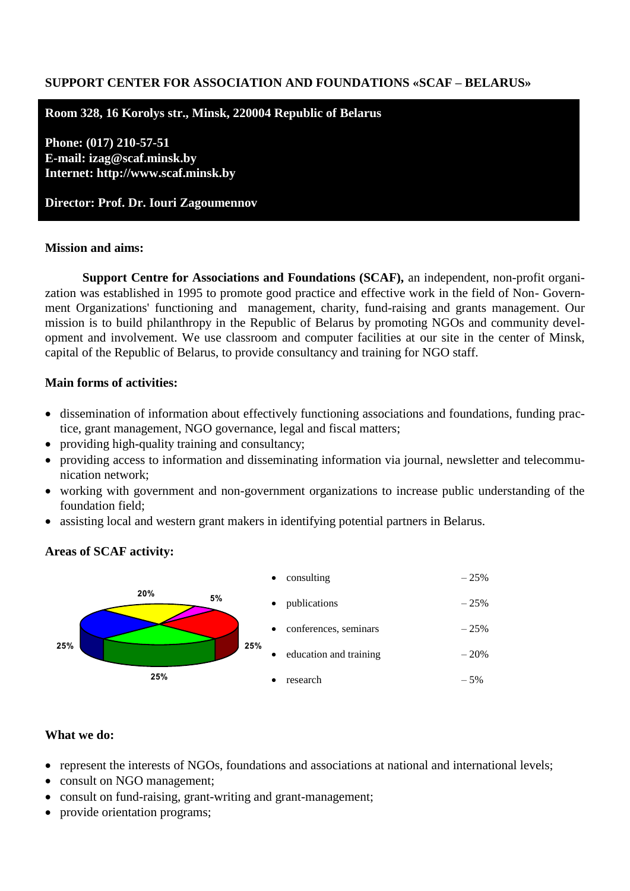### **SUPPORT CENTER FOR ASSOCIATION AND FOUNDATIONS «SCAF – BELARUS»**

#### **Room 328, 16 Korolys str., Minsk, 220004 Republic of Belarus**

**Phone: (017) 210-57-51 E-mail: izag@scaf.minsk.by Internet: http://www.scaf.minsk.by** 

**Director: Prof. Dr. Iouri Zagoumennov**

#### **Mission and aims:**

**Support Centre for Associations and Foundations (SCAF),** an independent, non-profit organization was established in 1995 to promote good practice and effective work in the field of Non- Government Organizations' functioning and management, charity, fund-raising and grants management. Our mission is to build philanthropy in the Republic of Belarus by promoting NGOs and community development and involvement. We use classroom and computer facilities at our site in the center of Minsk, capital of the Republic of Belarus, to provide consultancy and training for NGO staff.

### **Main forms of activities:**

- dissemination of information about effectively functioning associations and foundations, funding practice, grant management, NGO governance, legal and fiscal matters;
- providing high-quality training and consultancy;
- providing access to information and disseminating information via journal, newsletter and telecommunication network;
- working with government and non-government organizations to increase public understanding of the foundation field;
- assisting local and western grant makers in identifying potential partners in Belarus.

### **Areas of SCAF activity:**



#### **What we do:**

- represent the interests of NGOs, foundations and associations at national and international levels;
- consult on NGO management;
- consult on fund-raising, grant-writing and grant-management;
- provide orientation programs;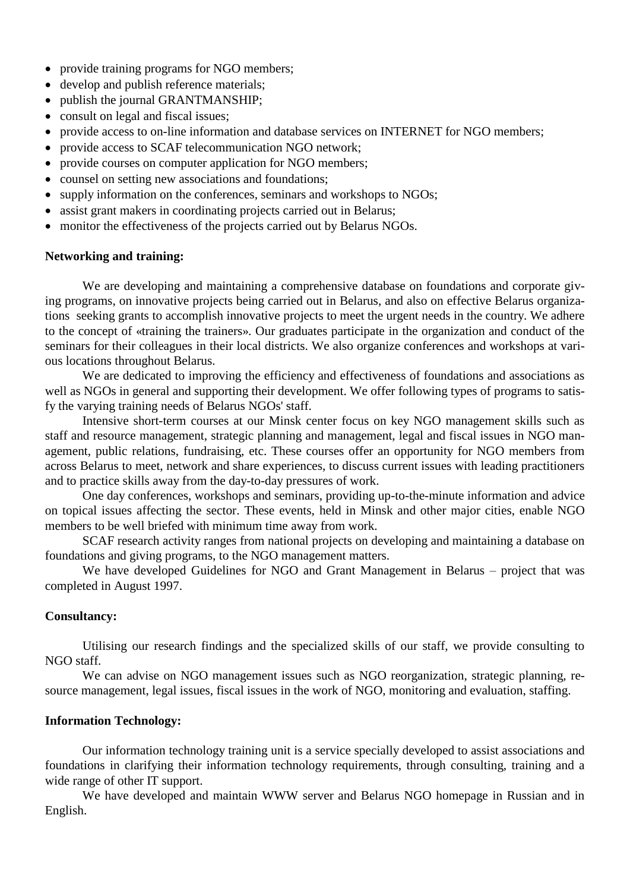- provide training programs for NGO members;
- develop and publish reference materials;
- publish the journal GRANTMANSHIP;
- consult on legal and fiscal issues;
- provide access to on-line information and database services on INTERNET for NGO members;
- provide access to SCAF telecommunication NGO network;
- provide courses on computer application for NGO members;
- counsel on setting new associations and foundations;
- supply information on the conferences, seminars and workshops to NGOs;
- assist grant makers in coordinating projects carried out in Belarus;
- monitor the effectiveness of the projects carried out by Belarus NGOs.

#### **Networking and training:**

We are developing and maintaining a comprehensive database on foundations and corporate giving programs, on innovative projects being carried out in Belarus, and also on effective Belarus organizations seeking grants to accomplish innovative projects to meet the urgent needs in the country. We adhere to the concept of «training the trainers». Our graduates participate in the organization and conduct of the seminars for their colleagues in their local districts. We also organize conferences and workshops at various locations throughout Belarus.

We are dedicated to improving the efficiency and effectiveness of foundations and associations as well as NGOs in general and supporting their development. We offer following types of programs to satisfy the varying training needs of Belarus NGOs' staff.

Intensive short-term courses at our Minsk center focus on key NGO management skills such as staff and resource management, strategic planning and management, legal and fiscal issues in NGO management, public relations, fundraising, etc. These courses offer an opportunity for NGO members from across Belarus to meet, network and share experiences, to discuss current issues with leading practitioners and to practice skills away from the day-to-day pressures of work.

One day conferences, workshops and seminars, providing up-to-the-minute information and advice on topical issues affecting the sector. These events, held in Minsk and other major cities, enable NGO members to be well briefed with minimum time away from work.

SCAF research activity ranges from national projects on developing and maintaining a database on foundations and giving programs, to the NGO management matters.

We have developed Guidelines for NGO and Grant Management in Belarus – project that was completed in August 1997.

#### **Consultancy:**

Utilising our research findings and the specialized skills of our staff, we provide consulting to NGO staff.

We can advise on NGO management issues such as NGO reorganization, strategic planning, resource management, legal issues, fiscal issues in the work of NGO, monitoring and evaluation, staffing.

#### **Information Technology:**

Our information technology training unit is a service specially developed to assist associations and foundations in clarifying their information technology requirements, through consulting, training and a wide range of other IT support.

We have developed and maintain WWW server and Belarus NGO homepage in Russian and in English.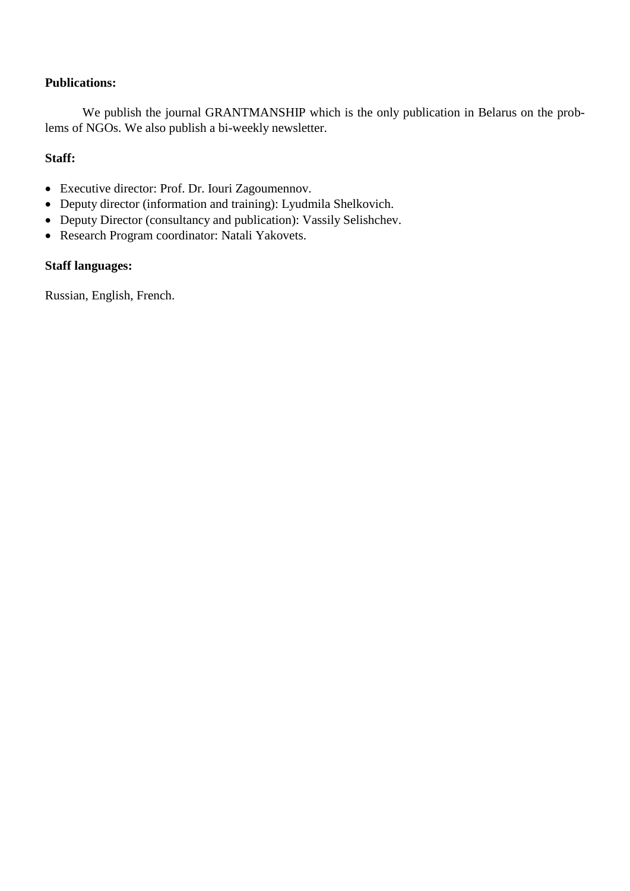## **Publications:**

We publish the journal GRANTMANSHIP which is the only publication in Belarus on the problems of NGOs. We also publish a bi-weekly newsletter.

## **Staff:**

- Executive director: Prof. Dr. Iouri Zagoumennov.
- Deputy director (information and training): Lyudmila Shelkovich.
- Deputy Director (consultancy and publication): Vassily Selishchev.
- Research Program coordinator: Natali Yakovets.

# **Staff languages:**

Russian, English, French.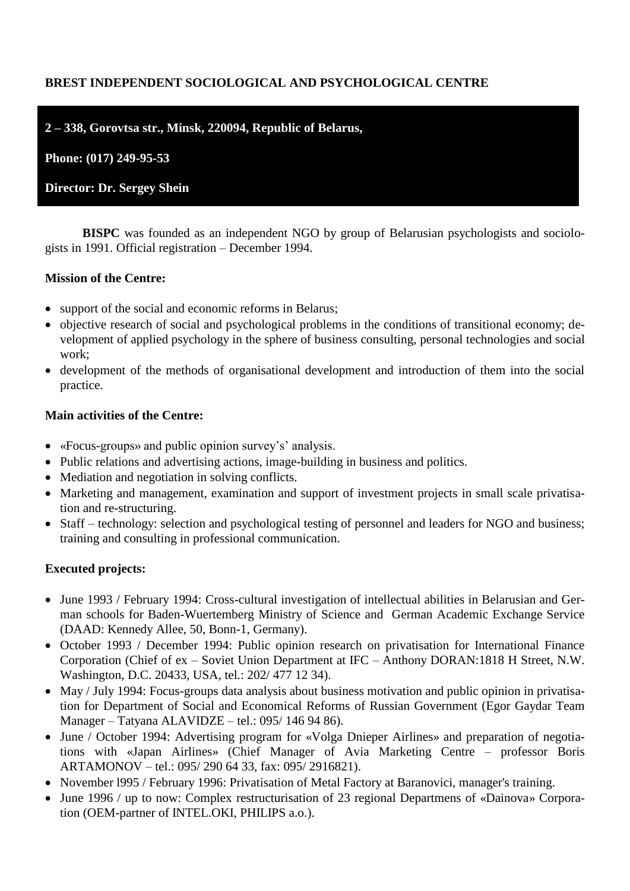# **BREST INDEPENDENT SOCIOLOGICAL AND PSYCHOLOGICAL CENTRE**

**2 – 338, Gorovtsa str., Minsk, 220094, Republic of Belarus,**

**Phone: (017) 249-95-53**

**Director: Dr. Sergey Shein**

**BISPC** was founded as an independent NGO by group of Belarusian psychologists and sociologists in 1991. Official registration – December 1994.

### **Mission of the Centre:**

- support of the social and economic reforms in Belarus;
- objective research of social and psychological problems in the conditions of transitional economy; development of applied psychology in the sphere of business consulting, personal technologies and social work;
- development of the methods of organisational development and introduction of them into the social practice.

### **Main activities of the Centre:**

- «Focus-groups» and public opinion survey's' analysis.
- Public relations and advertising actions, image-building in business and politics.
- Mediation and negotiation in solving conflicts.
- Marketing and management, examination and support of investment projects in small scale privatisation and re-structuring.
- Staff technology: selection and psychological testing of personnel and leaders for NGO and business; training and consulting in professional communication.

## **Executed projects:**

- June 1993 / February 1994: Cross-cultural investigation of intellectual abilities in Belarusian and German schools for Baden-Wuertemberg Ministry of Science and German Academic Exchange Service (DAAD: Kennedy Allee, 50, Bonn-1, Germany).
- October 1993 / December 1994: Public opinion research on privatisation for International Finance Corporation (Chief of ex – Soviet Union Department at IFC – Anthony DORAN:1818 H Street, N.W. Washington, D.C. 20433, USA, tel.: 202/ 477 12 34).
- May / July 1994: Focus-groups data analysis about business motivation and public opinion in privatisation for Department of Social and Economical Reforms of Russian Government (Egor Gaydar Team Manager – Tatyana ALAVIDZE – tel.: 095/ 146 94 86).
- June / October 1994: Advertising program for «Volga Dnieper Airlines» and preparation of negotiations with «Japan Airlines» (Chief Manager of Avia Marketing Centre – professor Boris ARTAMONOV – tel.: 095/ 290 64 33, fax: 095/ 2916821).
- November 1995 / February 1996: Privatisation of Metal Factory at Baranovici, manager's training.
- June 1996 / up to now: Complex restructurisation of 23 regional Departmens of «Dainova» Corporation (OEM-partner of INTEL.OKI, PHILIPS a.o.).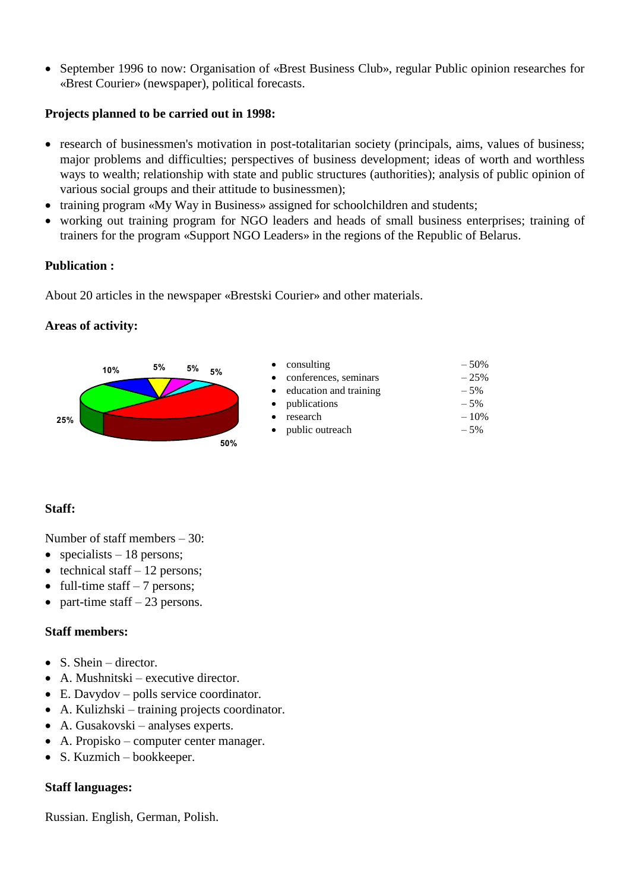• September 1996 to now: Organisation of «Brest Business Club», regular Public opinion researches for «Brest Courier» (newspaper), political forecasts.

## **Projects planned to be carried out in 1998:**

- research of businessmen's motivation in post-totalitarian society (principals, aims, values of business; major problems and difficulties; perspectives of business development; ideas of worth and worthless ways to wealth; relationship with state and public structures (authorities); analysis of public opinion of various social groups and their attitude to businessmen);
- training program «My Way in Business» assigned for schoolchildren and students;
- working out training program for NGO leaders and heads of small business enterprises; training of trainers for the program «Support NGO Leaders» in the regions of the Republic of Belarus.

## **Publication :**

About 20 articles in the newspaper «Brestski Courier» and other materials.

## **Areas of activity:**



# **Staff:**

Number of staff members – 30:

- specialists 18 persons;
- $\bullet$  technical staff 12 persons;
- full-time staff  $-7$  persons;
- part-time staff  $-23$  persons.

## **Staff members:**

- S. Shein director.
- A. Mushnitski executive director.
- E. Davydov polls service coordinator.
- A. Kulizhski training projects coordinator.
- A. Gusakovski analyses experts.
- A. Propisko computer center manager.
- S. Kuzmich bookkeeper.

## **Staff languages:**

Russian. English, German, Polish.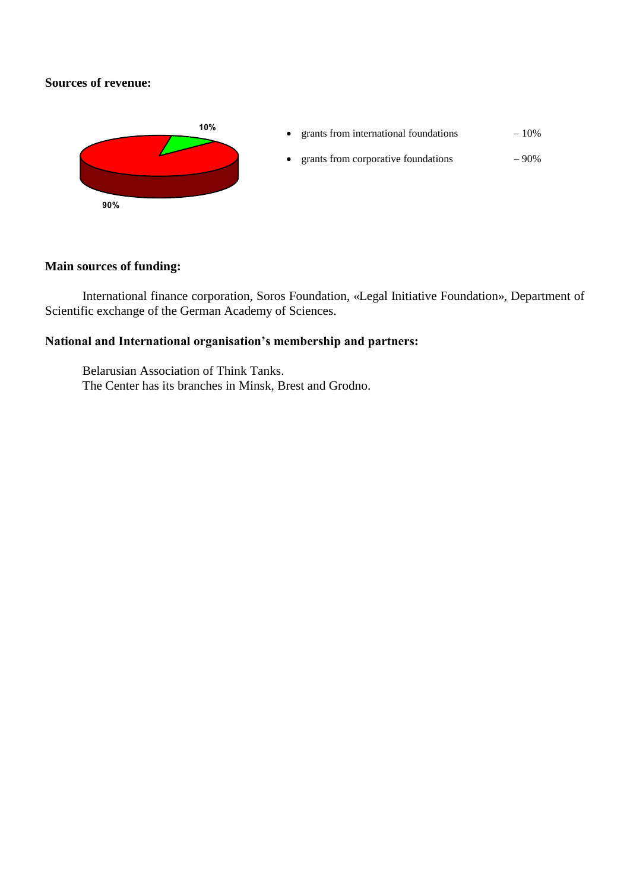## **Sources of revenue:**



# **Main sources of funding:**

International finance corporation, Soros Foundation, «Legal Initiative Foundation», Department of Scientific exchange of the German Academy of Sciences.

# **National and International organisation's membership and partners:**

Belarusian Association of Think Tanks. The Center has its branches in Minsk, Brest and Grodno.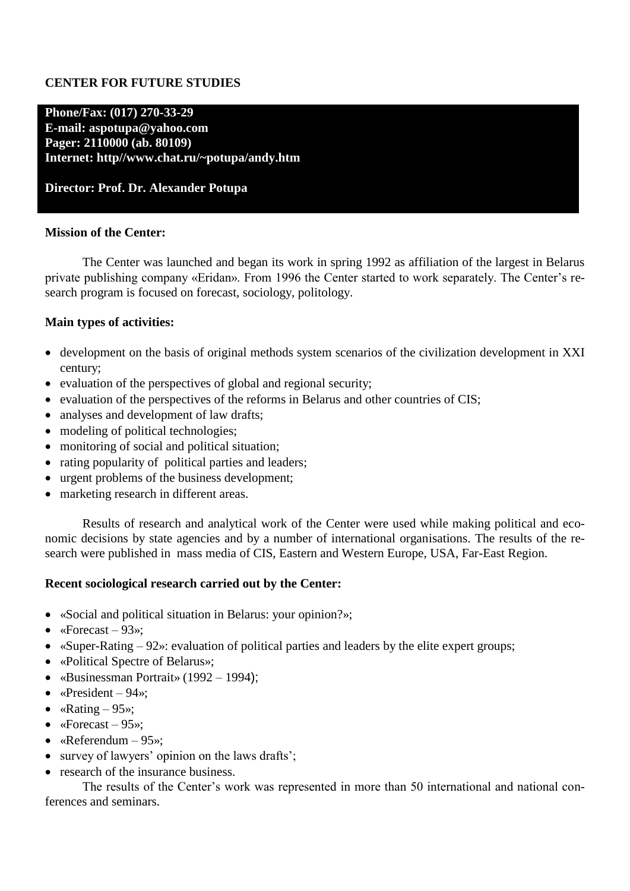## **CENTER FOR FUTURE STUDIES**

## **Phone/Fax: (017) 270-33-29 E-mail: aspotupa@yahoo.com Pager: 2110000 (ab. 80109) Internet: http//www.chat.ru/~potupa/andy.htm**

### **Director: Prof. Dr. Alexander Potupa**

### **Mission of the Center:**

The Center was launched and began its work in spring 1992 as affiliation of the largest in Belarus private publishing company «Eridan». From 1996 the Center started to work separately. The Center's research program is focused on forecast, sociology, politology.

### **Main types of activities:**

- development on the basis of original methods system scenarios of the civilization development in XXI century;
- evaluation of the perspectives of global and regional security;
- evaluation of the perspectives of the reforms in Belarus and other countries of CIS;
- analyses and development of law drafts;
- modeling of political technologies;
- monitoring of social and political situation;
- rating popularity of political parties and leaders;
- urgent problems of the business development;
- marketing research in different areas.

Results of research and analytical work of the Center were used while making political and economic decisions by state agencies and by a number of international organisations. The results of the research were published in mass media of CIS, Eastern and Western Europe, USA, Far-East Region.

### **Recent sociological research carried out by the Center:**

- «Social and political situation in Belarus: your opinion?»;
- «Forecast  $93$ »;
- «Super-Rating 92»: evaluation of political parties and leaders by the elite expert groups;
- «Political Spectre of Belarus»;
- «Businessman Portrait» (1992 1994);
- $\ll$ President 94»;
- «Rating  $-95$ »;
- «Forecast  $95$ »:
- «Referendum  $-95$ »:
- survey of lawyers' opinion on the laws drafts';
- research of the insurance business.

The results of the Center's work was represented in more than 50 international and national conferences and seminars.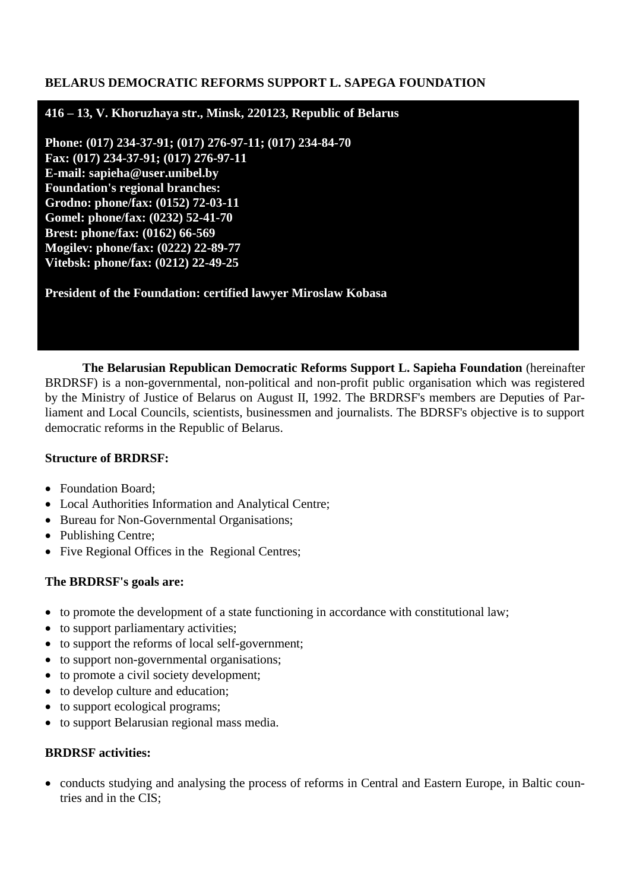## **BELARUS DEMOCRATIC REFORMS SUPPORT L. SAPEGA FOUNDATION**

## **416 – 13, V. Khoruzhaya str., Minsk, 220123, Republic of Belarus**

**Phone: (017) 234-37-91; (017) 276-97-11; (017) 234-84-70 Fax: (017) 234-37-91; (017) 276-97-11 E-mail: sapieha@user.unibel.by Foundation's regional branches: Grodno: phone/fax: (0152) 72-03-11 Gomel: phone/fax: (0232) 52-41-70 Brest: phone/fax: (0162) 66-569 Mogilev: phone/fax: (0222) 22-89-77 Vitebsk: phone/fax: (0212) 22-49-25**

**President of the Foundation: certified lawyer Miroslaw Kobasa**

**The Belarusian Republican Democratic Reforms Support L. Sapieha Foundation** (hereinafter BRDRSF) is a non-governmental, non-political and non-profit public organisation which was registered by the Ministry of Justice of Belarus on August II, 1992. The BRDRSF's members are Deputies of Parliament and Local Councils, scientists, businessmen and journalists. The BDRSF's objective is to support democratic reforms in the Republic of Belarus.

### **Structure of BRDRSF:**

- Foundation Board;
- Local Authorities Information and Analytical Centre;
- Bureau for Non-Governmental Organisations;
- Publishing Centre;
- Five Regional Offices in the Regional Centres;

## **The BRDRSF's goals are:**

- to promote the development of a state functioning in accordance with constitutional law;
- to support parliamentary activities;
- to support the reforms of local self-government;
- to support non-governmental organisations;
- to promote a civil society development;
- to develop culture and education;
- to support ecological programs;
- to support Belarusian regional mass media.

## **BRDRSF activities:**

• conducts studying and analysing the process of reforms in Central and Eastern Europe, in Baltic countries and in the CIS;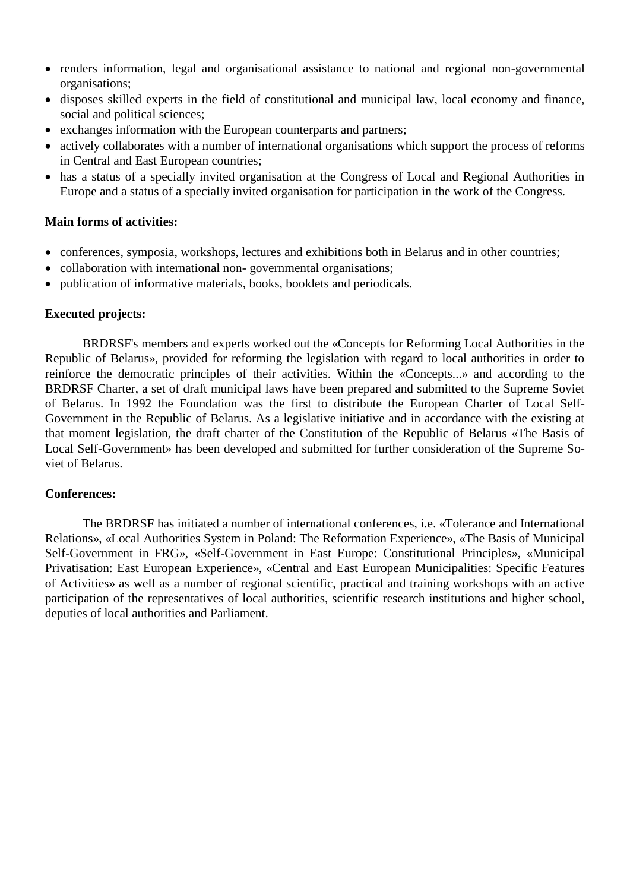- renders information, legal and organisational assistance to national and regional non-governmental organisations;
- disposes skilled experts in the field of constitutional and municipal law, local economy and finance, social and political sciences;
- exchanges information with the European counterparts and partners;
- actively collaborates with a number of international organisations which support the process of reforms in Central and East European countries;
- has a status of a specially invited organisation at the Congress of Local and Regional Authorities in Europe and a status of a specially invited organisation for participation in the work of the Congress.

## **Main forms of activities:**

- conferences, symposia, workshops, lectures and exhibitions both in Belarus and in other countries;
- collaboration with international non-governmental organisations;
- publication of informative materials, books, booklets and periodicals.

### **Executed projects:**

BRDRSF's members and experts worked out the «Concepts for Reforming Local Authorities in the Republic of Belarus», provided for reforming the legislation with regard to local authorities in order to reinforce the democratic principles of their activities. Within the «Concepts...» and according to the BRDRSF Charter, a set of draft municipal laws have been prepared and submitted to the Supreme Soviet of Belarus. In 1992 the Foundation was the first to distribute the European Charter of Local Self-Government in the Republic of Belarus. As a legislative initiative and in accordance with the existing at that moment legislation, the draft charter of the Constitution of the Republic of Belarus «The Basis of Local Self-Government» has been developed and submitted for further consideration of the Supreme Soviet of Belarus.

### **Conferences:**

The BRDRSF has initiated a number of international conferences, i.e. «Tolerance and International Relations», «Local Authorities System in Poland: The Reformation Experience», «The Basis of Municipal Self-Government in FRG», «Self-Government in East Europe: Constitutional Principles», «Municipal Privatisation: East European Experience», «Central and East European Municipalities: Specific Features of Activities» as well as a number of regional scientific, practical and training workshops with an active participation of the representatives of local authorities, scientific research institutions and higher school, deputies of local authorities and Parliament.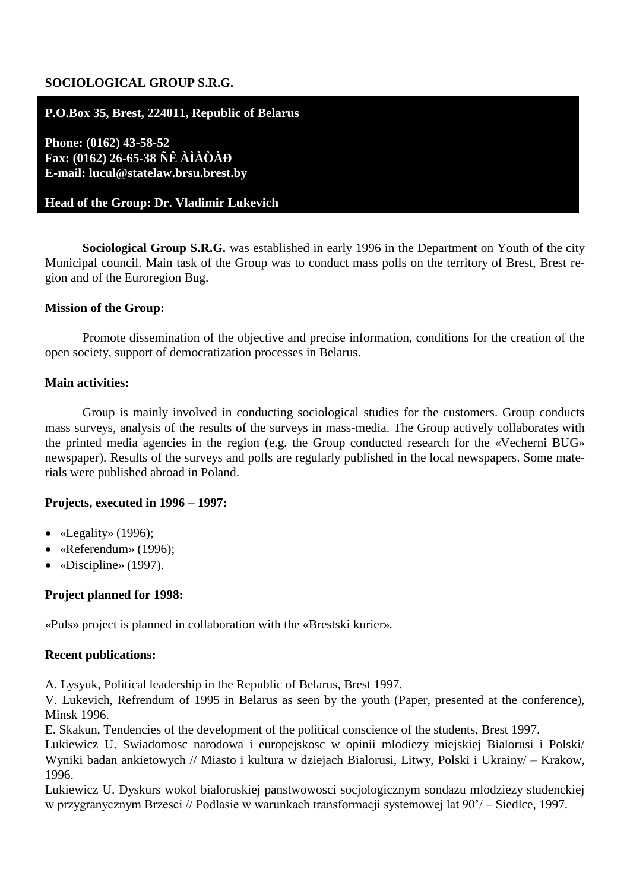## **SOCIOLOGICAL GROUP S.R.G.**

## **P.O.Box 35, Brest, 224011, Republic of Belarus**

**Phone: (0162) 43-58-52 Fax: (0162) 26-65-38 ÑÊ ÀÌÀÒÀÐ E-mail: lucul@statelaw.brsu.brest.by**

### **Head of the Group: Dr. Vladimir Lukevich**

**Sociological Group S.R.G.** was established in early 1996 in the Department on Youth of the city Municipal council. Main task of the Group was to conduct mass polls on the territory of Brest, Brest region and of the Euroregion Bug.

### **Mission of the Group:**

Promote dissemination of the objective and precise information, conditions for the creation of the open society, support of democratization processes in Belarus.

### **Main activities:**

Group is mainly involved in conducting sociological studies for the customers. Group conducts mass surveys, analysis of the results of the surveys in mass-media. The Group actively collaborates with the printed media agencies in the region (e.g. the Group conducted research for the «Vecherni BUG» newspaper). Results of the surveys and polls are regularly published in the local newspapers. Some materials were published abroad in Poland.

### **Projects, executed in 1996 – 1997:**

- $\bullet$  «Legality» (1996);
- «Referendum» (1996);
- «Discipline» (1997).

### **Project planned for 1998:**

«Puls» project is planned in collaboration with the «Brestski kurier».

### **Recent publications:**

A. Lysyuk, Political leadership in the Republic of Belarus, Brest 1997.

V. Lukevich, Refrendum of 1995 in Belarus as seen by the youth (Paper, presented at the conference), Minsk 1996.

E. Skakun, Tendencies of the development of the political conscience of the students, Brest 1997.

Lukiewicz U. Swiadomosc narodowa i europejskosc w opinii mlodiezy miejskiej Bialorusi i Polski/ Wyniki badan ankietowych // Miasto i kultura w dziejach Bialorusi, Litwy, Polski i Ukrainy/ – Krakow, 1996.

Lukiewicz U. Dyskurs wokol bialoruskiej panstwowosci socjologicznym sondazu mlodziezy studenckiej w przygranycznym Brzesci // Podlasie w warunkach transformacji systemowej lat 90'/ – Siedlce, 1997.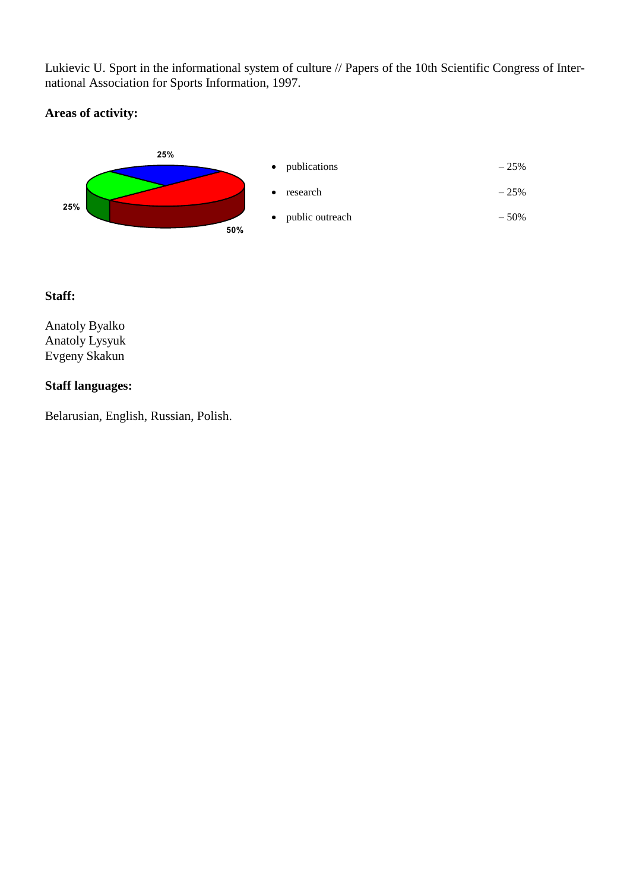Lukievic U. Sport in the informational system of culture // Papers of the 10th Scientific Congress of International Association for Sports Information, 1997.

# **Areas of activity:**



## **Staff:**

Anatoly Byalko Anatoly Lysyuk Evgeny Skakun

## **Staff languages:**

Belarusian, English, Russian, Polish.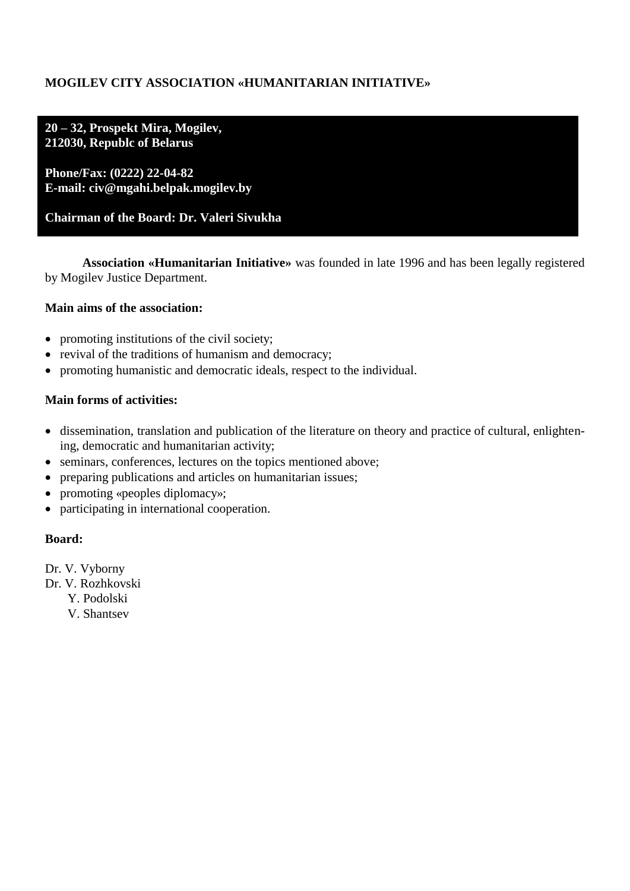# **MOGILEV CITY ASSOCIATION «HUMANITARIAN INITIATIVE»**

**20 – 32, Prospekt Mira, Mogilev, 212030, Republc of Belarus**

**Phone/Fax: (0222) 22-04-82 E-mail: civ@mgahi.belpak.mogilev.by**

# **Chairman of the Board: Dr. Valeri Sivukha**

**Association «Humanitarian Initiative»** was founded in late 1996 and has been legally registered by Mogilev Justice Department.

## **Main aims of the association:**

- promoting institutions of the civil society;
- revival of the traditions of humanism and democracy;
- promoting humanistic and democratic ideals, respect to the individual.

## **Main forms of activities:**

- dissemination, translation and publication of the literature on theory and practice of cultural, enlightening, democratic and humanitarian activity;
- seminars, conferences, lectures on the topics mentioned above;
- preparing publications and articles on humanitarian issues;
- promoting «peoples diplomacy»;
- participating in international cooperation.

### **Board:**

- Dr. V. Vyborny
- Dr. V. Rozhkovski
	- Y. Podolski
	- V. Shantsev